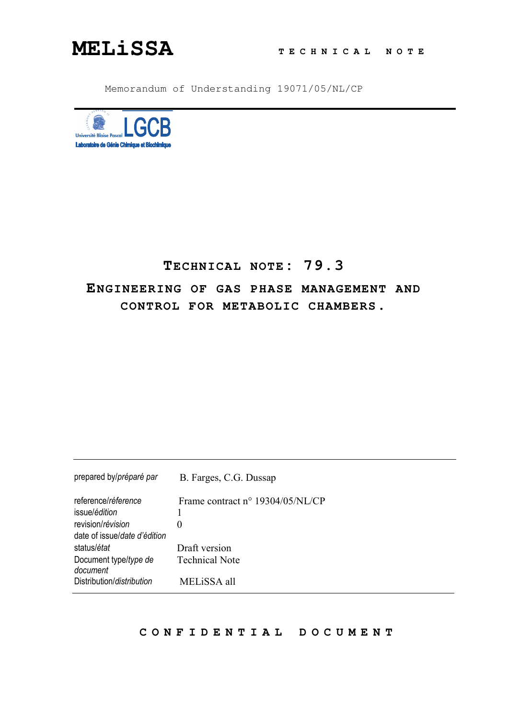

Memorandum of Understanding 19071/05/NL/CP



# **TECHNICAL NOTE: 79.3 ENGINEERING OF GAS PHASE MANAGEMENT AND CONTROL FOR METABOLIC CHAMBERS.**

| prepared by/préparé par           | B. Farges, C.G. Dussap           |
|-----------------------------------|----------------------------------|
| reference/réference               | Frame contract n° 19304/05/NL/CP |
| issue/édition                     |                                  |
| revision/révision                 | 0                                |
| date of issue/date d'édition      |                                  |
| status/état                       | Draft version                    |
| Document type/type de<br>document | <b>Technical Note</b>            |
| Distribution/distribution         | MELISSA all                      |

## **C O N F I D E N T I A L D O C U M E N T**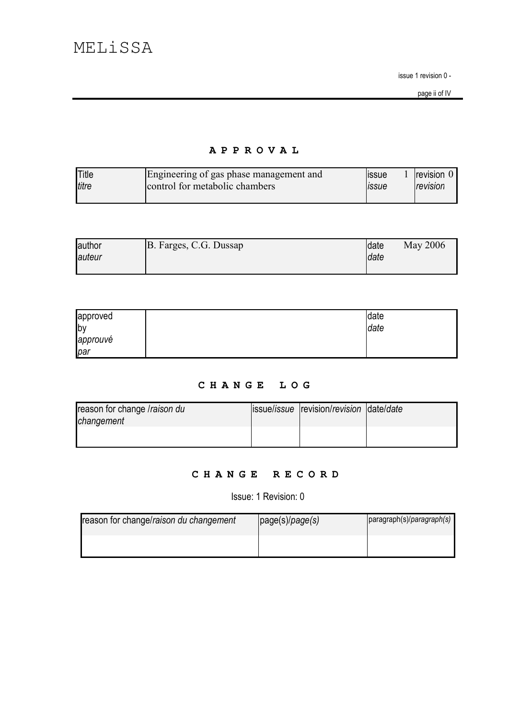page ii of IV

## APPROVAL

| <b>Title</b> | Engineering of gas phase management and | <b>ISSUE</b> | <b>Irevision U</b> |
|--------------|-----------------------------------------|--------------|--------------------|
| titre        | control for metabolic chambers          | <b>ISSUE</b> | revision           |
|              |                                         |              |                    |

| author  | B. Farges, C.G. Dussap | <b>date</b> | May 2006 |
|---------|------------------------|-------------|----------|
| lauteur |                        | <b>date</b> |          |
|         |                        |             |          |

| approved               | date |
|------------------------|------|
| $\mathsf{b}\mathsf{v}$ | date |
| approuvé               |      |
| par                    |      |

## CHANGE LOG

| reason for change /raison du | lissue/issue revision/revision date/date |  |
|------------------------------|------------------------------------------|--|
| changement                   |                                          |  |
|                              |                                          |  |
|                              |                                          |  |

## CHANGE RECORD

Issue: 1 Revision: 0

| reason for change/raison du changement | page(s)/page(s) | paragraph(s)/paragraph(s) |
|----------------------------------------|-----------------|---------------------------|
|                                        |                 |                           |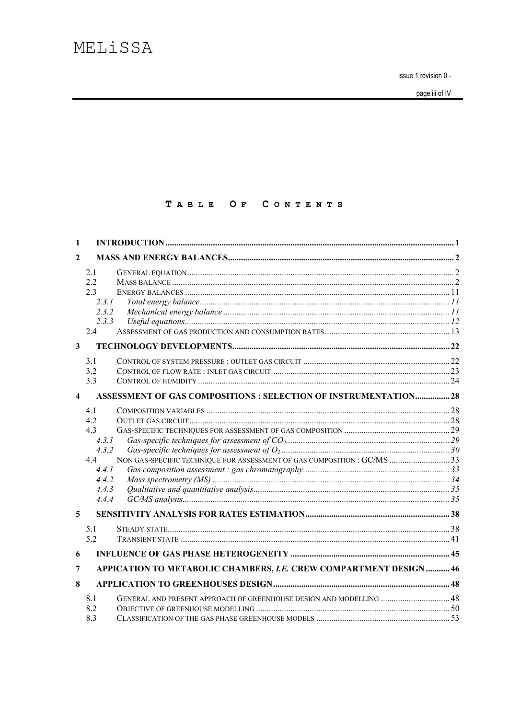page iii of IV

## TABLE OF CONTENTS

| 1                       |                                                                                          |  |
|-------------------------|------------------------------------------------------------------------------------------|--|
| 2                       |                                                                                          |  |
| $\mathbf{3}$            | 2.1<br>2.2<br>2.3<br>2.3.1<br>2.3.2<br>2.3.3<br>2.4<br>3.1                               |  |
|                         | 3.2                                                                                      |  |
|                         | 3.3                                                                                      |  |
| $\overline{\mathbf{4}}$ | <b>ASSESSMENT OF GAS COMPOSITIONS : SELECTION OF INSTRUMENTATION 28</b>                  |  |
|                         | 4.1<br>4.2<br>4.3<br>4.3.1<br>4.3.2<br>4.4<br>4.4.1<br>4.4.2<br>4.4.3<br>4.4.4           |  |
| 5                       |                                                                                          |  |
|                         | 5.1<br>5.2                                                                               |  |
| 6                       |                                                                                          |  |
| 7                       | APPICATION TO METABOLIC CHAMBERS, I.E. CREW COMPARTMENT DESIGN  46                       |  |
| 8                       |                                                                                          |  |
|                         | GENERAL AND PRESENT APPROACH OF GREENHOUSE DESIGN AND MODELLING  48<br>8.1<br>8.2<br>8.3 |  |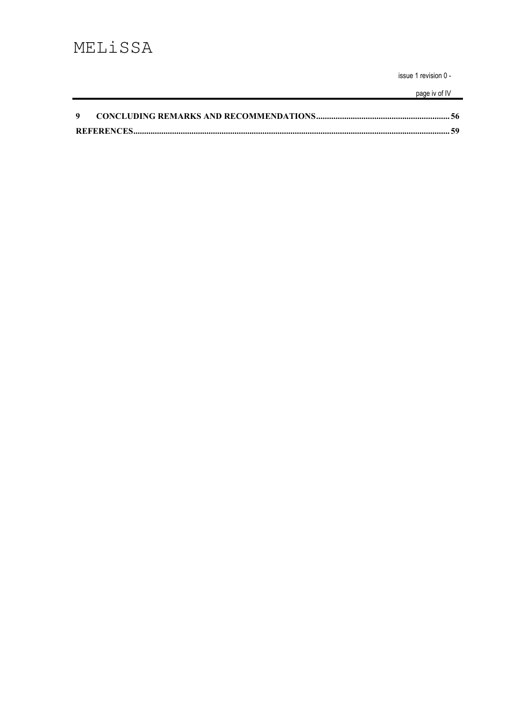page iv of IV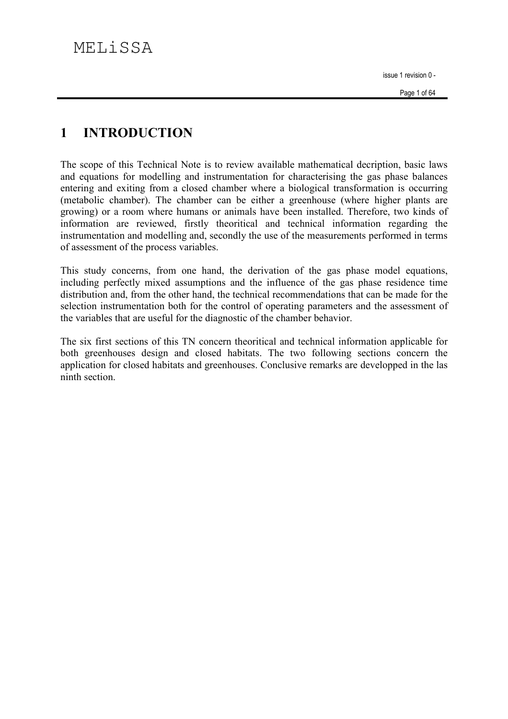#### $\blacksquare$ **INTRODUCTION**

The scope of this Technical Note is to review available mathematical decription, basic laws and equations for modelling and instrumentation for characterising the gas phase balances entering and exiting from a closed chamber where a biological transformation is occurring (metabolic chamber). The chamber can be either a greenhouse (where higher plants are growing) or a room where humans or animals have been installed. Therefore, two kinds of information are reviewed, firstly theoritical and technical information regarding the instrumentation and modelling and, secondly the use of the measurements performed in terms of assessment of the process variables.

This study concerns, from one hand, the derivation of the gas phase model equations, including perfectly mixed assumptions and the influence of the gas phase residence time distribution and, from the other hand, the technical recommendations that can be made for the selection instrumentation both for the control of operating parameters and the assessment of the variables that are useful for the diagnostic of the chamber behavior.

The six first sections of this TN concern theoritical and technical information applicable for both greenhouses design and closed habitats. The two following sections concern the application for closed habitats and greenhouses. Conclusive remarks are developped in the las ninth section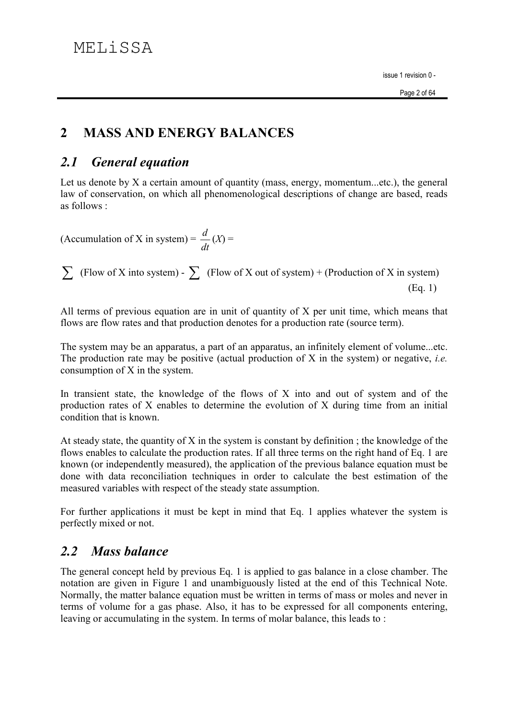#### $\overline{2}$ **MASS AND ENERGY BALANCES**

#### **General equation**  $2.1$

Let us denote by  $X$  a certain amount of quantity (mass, energy, momentum...etc.), the general law of conservation, on which all phenomenological descriptions of change are based, reads as follows :

(Accumulation of X in system) =  $\frac{d}{dt}(X)$  =

 $\sum$  (Flow of X into system) -  $\sum$  (Flow of X out of system) + (Production of X in system)  $(Eq. 1)$ 

All terms of previous equation are in unit of quantity of X per unit time, which means that flows are flow rates and that production denotes for a production rate (source term).

The system may be an apparatus, a part of an apparatus, an infinitely element of volume...etc. The production rate may be positive (actual production of  $X$  in the system) or negative, *i.e.* consumption of  $X$  in the system.

In transient state, the knowledge of the flows of X into and out of system and of the production rates of X enables to determine the evolution of X during time from an initial condition that is known

At steady state, the quantity of  $X$  in the system is constant by definition; the knowledge of the flows enables to calculate the production rates. If all three terms on the right hand of Eq. 1 are known (or independently measured), the application of the previous balance equation must be done with data reconciliation techniques in order to calculate the best estimation of the measured variables with respect of the steady state assumption.

For further applications it must be kept in mind that Eq. 1 applies whatever the system is perfectly mixed or not.

#### **Mass balance**  $2.2$

The general concept held by previous Eq. 1 is applied to gas balance in a close chamber. The notation are given in Figure 1 and unambiguously listed at the end of this Technical Note. Normally, the matter balance equation must be written in terms of mass or moles and never in terms of volume for a gas phase. Also, it has to be expressed for all components entering, leaving or accumulating in the system. In terms of molar balance, this leads to: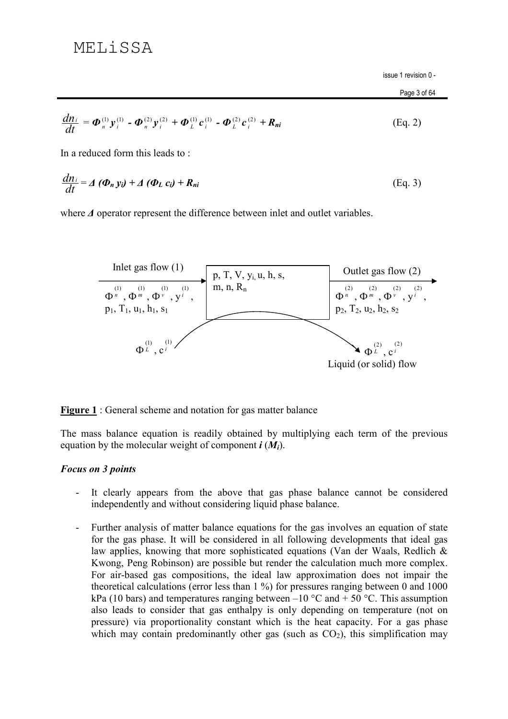$$
\frac{d n_i}{d t} = \boldsymbol{\Phi}_n^{(1)} \boldsymbol{y}_i^{(1)} - \boldsymbol{\Phi}_n^{(2)} \boldsymbol{y}_i^{(2)} + \boldsymbol{\Phi}_L^{(1)} \boldsymbol{c}_i^{(1)} - \boldsymbol{\Phi}_L^{(2)} \boldsymbol{c}_i^{(2)} + \boldsymbol{R}_{ni}
$$
(Eq. 2)

In a reduced form this leads to:

$$
\frac{dn_i}{dt} = \Delta (\Phi_n y_i) + \Delta (\Phi_L c_i) + R_{ni}
$$
 (Eq. 3)

where  $\Delta$  operator represent the difference between inlet and outlet variables.



**Figure 1** : General scheme and notation for gas matter balance

The mass balance equation is readily obtained by multiplying each term of the previous equation by the molecular weight of component  $\mathbf{i}$  ( $M_i$ ).

## **Focus on 3 points**

- It clearly appears from the above that gas phase balance cannot be considered independently and without considering liquid phase balance.
- Further analysis of matter balance equations for the gas involves an equation of state  $\Delta \sim 10^4$ for the gas phase. It will be considered in all following developments that ideal gas law applies, knowing that more sophisticated equations (Van der Waals, Redlich & Kwong, Peng Robinson) are possible but render the calculation much more complex. For air-based gas compositions, the ideal law approximation does not impair the theoretical calculations (error less than  $1\%$ ) for pressures ranging between 0 and 1000 kPa (10 bars) and temperatures ranging between  $-10$  °C and  $+ 50$  °C. This assumption also leads to consider that gas enthalpy is only depending on temperature (not on pressure) via proportionality constant which is the heat capacity. For a gas phase which may contain predominantly other gas (such as  $CO<sub>2</sub>$ ), this simplification may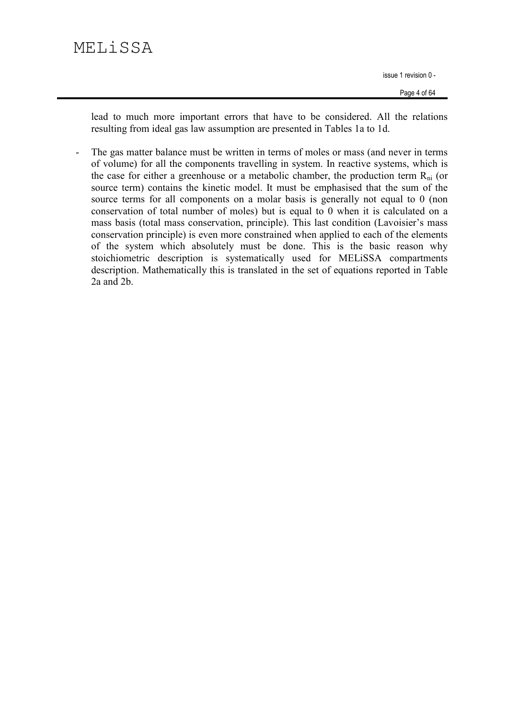# MELiSSA

issue 1 revision 0 -

lead to much more important errors that have to be considered. All the relations resulting from ideal gas law assumption are presented in Tables 1a to 1d.

The gas matter balance must be written in terms of moles or mass (and never in terms of volume) for all the components travelling in system. In reactive systems, which is the case for either a greenhouse or a metabolic chamber, the production term  $R_{ni}$  (or source term) contains the kinetic model. It must be emphasised that the sum of the source terms for all components on a molar basis is generally not equal to 0 (non conservation of total number of moles) but is equal to 0 when it is calculated on a mass basis (total mass conservation, principle). This last condition (Lavoisier's mass conservation principle) is even more constrained when applied to each of the elements of the system which absolutely must be done. This is the basic reason why stoichiometric description is systematically used for MELISSA compartments description. Mathematically this is translated in the set of equations reported in Table  $2a$  and  $2b$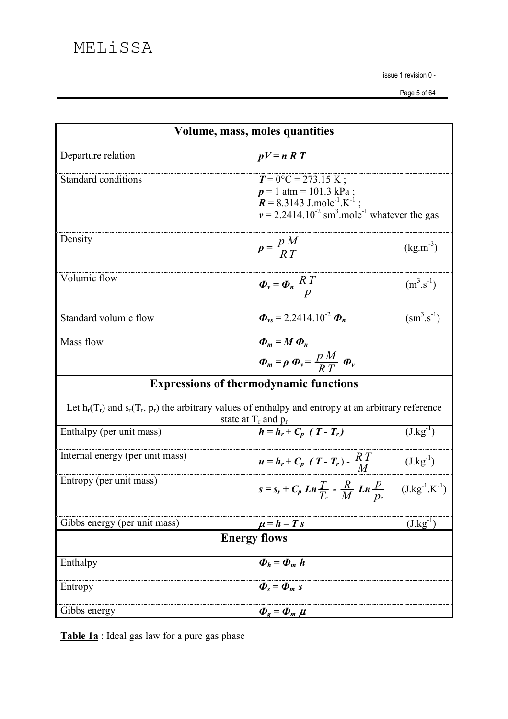| Volume, mass, moles quantities                                                                            |                                                                                                                                                                                       |                                           |  |
|-----------------------------------------------------------------------------------------------------------|---------------------------------------------------------------------------------------------------------------------------------------------------------------------------------------|-------------------------------------------|--|
| Departure relation                                                                                        | $pV=n R T$                                                                                                                                                                            |                                           |  |
| Standard conditions                                                                                       | $T = 0$ °C = 273.15 K;<br>$p = 1$ atm = 101.3 kPa;<br>$R = 8.3143$ J.mole <sup>-1</sup> .K <sup>-1</sup><br>$v = 2.2414.10^{-2}$ sm <sup>3</sup> .mole <sup>-1</sup> whatever the gas |                                           |  |
| Density                                                                                                   | $p = \frac{p M}{R T}$                                                                                                                                                                 | $(kg.m^{-3})$                             |  |
| Volumic flow                                                                                              | $\Phi_v = \Phi_n \frac{RT}{n}$                                                                                                                                                        | $(m^3.s^{-1})$                            |  |
| Standard volumic flow                                                                                     | $\Phi_{vs} = 2.2414.10^{2} \Phi_{n}$                                                                                                                                                  | $\left(\text{sm}^{3}\text{.s}^{1}\right)$ |  |
| Mass flow                                                                                                 | $\Phi_m = M \Phi_n$<br>$\Phi_m = \rho \Phi_v = \frac{p M}{R T} \Phi_v$                                                                                                                |                                           |  |
|                                                                                                           | <b>Expressions of thermodynamic functions</b>                                                                                                                                         |                                           |  |
| Let $h_r(T_r)$ and $s_r(T_r, p_r)$ the arbitrary values of enthalpy and entropy at an arbitrary reference | state at $T_r$ and $p_r$                                                                                                                                                              |                                           |  |
| Enthalpy (per unit mass)                                                                                  | $h = h_r + C_p$ $(T - T_r)$                                                                                                                                                           | $(J.kg^{-1})$                             |  |
| Internal energy (per unit mass)                                                                           | $u = h_r + C_p (T - T_r) - \frac{RT}{M}$                                                                                                                                              | $(J.kg^{-1})$                             |  |
| Entropy (per unit mass)                                                                                   | $s = s_r + C_p$ $Ln \frac{T}{T_r}$ - $\frac{R}{M}$ $Ln \frac{p}{p_r}$ (J.kg <sup>-1</sup> .K <sup>-1</sup> )                                                                          |                                           |  |
| Gibbs energy (per unit mass)                                                                              | $\mu = h - T s$                                                                                                                                                                       | $(J.kg^{-1})$                             |  |
| <b>Energy flows</b>                                                                                       |                                                                                                                                                                                       |                                           |  |
| Enthalpy                                                                                                  | $\boldsymbol{\Phi}_h = \boldsymbol{\Phi}_m h$                                                                                                                                         |                                           |  |
| Entropy                                                                                                   | $\boldsymbol{\Phi}_{s} = \boldsymbol{\Phi}_{m} s$                                                                                                                                     |                                           |  |
| Gibbs energy                                                                                              | $\boldsymbol{\Phi}_{g}=\boldsymbol{\Phi}_{m} \boldsymbol{\mu}$                                                                                                                        |                                           |  |

Table 1a : Ideal gas law for a pure gas phase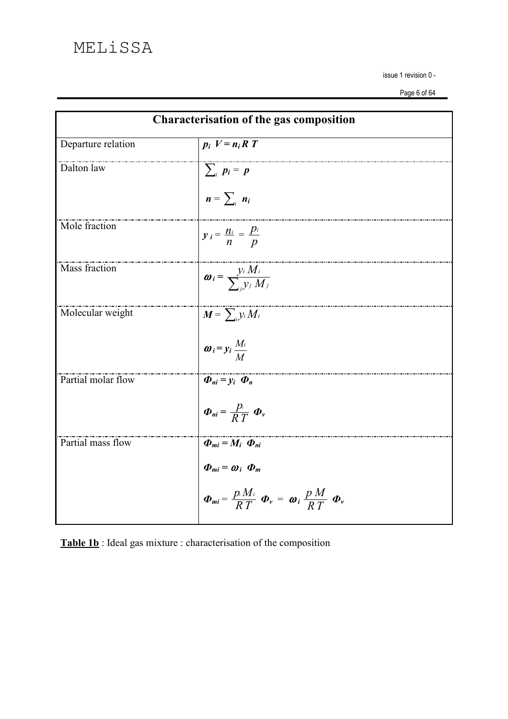| Characterisation of the gas composition |                                                                                                                                                                                    |  |
|-----------------------------------------|------------------------------------------------------------------------------------------------------------------------------------------------------------------------------------|--|
| Departure relation                      | $p_i V = n_i R T$                                                                                                                                                                  |  |
| Dalton law                              | $\sum_{i} p_{i} = p$<br>$n = \sum_{i} n_{i}$                                                                                                                                       |  |
| Mole fraction                           | $y_i = \frac{n_i}{n} = \frac{p_i}{p}$                                                                                                                                              |  |
| Mass fraction                           | $\boldsymbol{\omega}_i = \frac{y_i M_i}{\sum_i y_j M_i}$                                                                                                                           |  |
| Molecular weight                        | $M = \sum_i y_i M_i$<br>$\boldsymbol{\omega}_i = y_i \frac{M_i}{M}$                                                                                                                |  |
| Partial molar flow                      | $\boldsymbol{\Phi}_{ni} = y_i \boldsymbol{\Phi}_n$<br>$\boldsymbol{\Phi}_{ni} = \frac{p_i}{R T} \boldsymbol{\Phi}_v$                                                               |  |
| Partial mass flow                       | $\Phi_{mi} = M_i \; \Phi_{ni}$<br>$\boldsymbol{\Phi}_{mi} = \boldsymbol{\omega}_i \boldsymbol{\Phi}_m$<br>$\Phi_{mi} = \frac{p_i M_i}{RT} \Phi_v = \omega_i \frac{p M}{RT} \Phi_v$ |  |

Table 1b: Ideal gas mixture : characterisation of the composition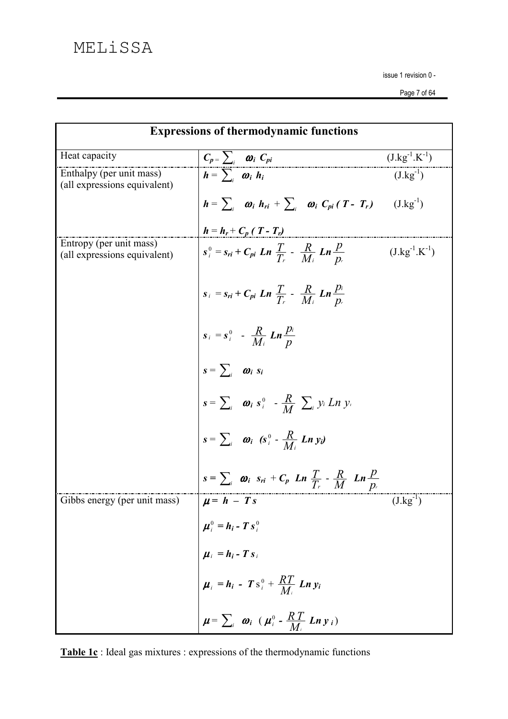| <b>Expressions of thermodynamic functions</b>            |                                                                                                                              |                      |  |
|----------------------------------------------------------|------------------------------------------------------------------------------------------------------------------------------|----------------------|--|
| Heat capacity                                            | $C_p = \sum_i$ $\omega_i C_{pi}$                                                                                             | $(J.kg^{-1}.K^{-1})$ |  |
| Enthalpy (per unit mass)<br>(all expressions equivalent) | $h = \sum_i \omega_i h_i$                                                                                                    | $(J.kg^{-1})$        |  |
|                                                          | $h = \sum_i \omega_i h_{ri} + \sum_i \omega_i C_{pi}(T - T_r)$ (J.kg <sup>-1</sup> )                                         |                      |  |
| Entropy (per unit mass)                                  | $h = h_r + C_p (T - T_r)$                                                                                                    |                      |  |
| (all expressions equivalent)                             | $s_i^0 = s_{ri} + C_{pi}$ Ln $\frac{T}{T_r}$ - $\frac{R}{M_i}$ Ln $\frac{p}{D_r}$                                            | $(J.kg^{-1}.K^{-1})$ |  |
|                                                          | $s_i = s_{ri} + C_{pi}$ Ln $\frac{T}{T_r}$ - $\frac{R}{M_i}$ Ln $\frac{p_i}{p_r}$                                            |                      |  |
|                                                          | $s_i = s_i^0$ - $\frac{R}{M_i}$ $Ln \frac{p_i}{p}$                                                                           |                      |  |
|                                                          | $s = \sum_i \omega_i s_i$                                                                                                    |                      |  |
|                                                          | $s = \sum_i \omega_i s_i^0 - \frac{R}{M} \sum_i y_i Ln y_i$                                                                  |                      |  |
|                                                          | $s = \sum_i \omega_i$ (s <sup>0</sup> - $\frac{R}{M}$ Ln y <sub>i</sub> )                                                    |                      |  |
|                                                          | $s = \sum_i \omega_i$ $s_{ri} + C_p$ $Ln \frac{T}{T_r} - \frac{R}{M}$ $Ln \frac{p}{p_r}$                                     |                      |  |
| Gibbs energy (per unit mass)                             | $\mu = h - Ts$                                                                                                               | $(J.kg^{-1})$        |  |
|                                                          | $ \mu_i^0 = h_i - T s_i^0$<br>$\mu_i = h_i - T s_i$                                                                          |                      |  |
|                                                          |                                                                                                                              |                      |  |
|                                                          | $\mu_i$ = $h_i$ - $T s_i^0$ + $\frac{RT}{M_i}$ Ln $y_i$<br>$\mu = \sum_i \omega_i$ ( $\mu_i^0$ - $\frac{RT}{M_i}$ Ln $y_i$ ) |                      |  |
|                                                          |                                                                                                                              |                      |  |

Table 1c: Ideal gas mixtures : expressions of the thermodynamic functions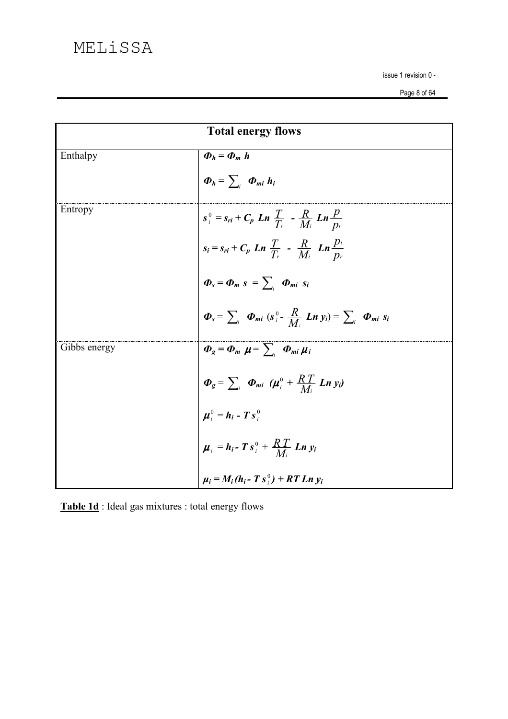| <b>Total energy flows</b> |                                                                                                                                                                                                                                                                                                                          |  |
|---------------------------|--------------------------------------------------------------------------------------------------------------------------------------------------------------------------------------------------------------------------------------------------------------------------------------------------------------------------|--|
| Enthalpy                  | $\boldsymbol{\Phi}_h = \boldsymbol{\Phi}_m h$                                                                                                                                                                                                                                                                            |  |
|                           | $\boldsymbol{\Phi}_h = \sum_i \boldsymbol{\Phi}_{mi} h_i$                                                                                                                                                                                                                                                                |  |
| Entropy                   |                                                                                                                                                                                                                                                                                                                          |  |
|                           | $s_i^0 = s_{ri} + C_p$ Ln $\frac{T}{T_r}$ $\frac{R}{M_i}$ Ln $\frac{p}{p_r}$<br>$s_i = s_{ri} + C_p$ Ln $\frac{T}{T_r}$ $\frac{R}{M_i}$ Ln $\frac{p_i}{p_r}$<br>$\Phi_s = \Phi_m$ $s = \sum_i$ $\Phi_{mi}$ $s_i$<br>$\Phi_s = \sum_i$ $\Phi_{mi}$ $(s_i^0 - \frac{R}{M_i}$ Ln $y_i) = \sum_i$ $\Phi_{mi}$ $s_i$          |  |
|                           |                                                                                                                                                                                                                                                                                                                          |  |
|                           |                                                                                                                                                                                                                                                                                                                          |  |
| Gibbs energy              | $\boldsymbol{\Phi}_{g} = \boldsymbol{\Phi}_{m} \boldsymbol{\mu} = \sum_{i} \boldsymbol{\Phi}_{mi} \boldsymbol{\mu}_{i}$                                                                                                                                                                                                  |  |
|                           |                                                                                                                                                                                                                                                                                                                          |  |
|                           |                                                                                                                                                                                                                                                                                                                          |  |
|                           | $\begin{cases}\n\mathbf{s} & \text{if } i \in \mathbb{Z}_i \text{ and } j \in \mathbb{Z}_i \\ \Phi_{g} = \sum_{i} \Phi_{mi} (\mu_i^0 + \frac{RT}{Mi} \text{Ln } y_i) \\ \mu_i^0 = h_i - T s_i^0 \\ \mu_i = h_i - T s_i^0 + \frac{RT}{Mi} \text{Ln } y_i \\ \mu_i = M_i (h_i - T s_i^0) + RT \text{Ln } y_i\n\end{cases}$ |  |
|                           |                                                                                                                                                                                                                                                                                                                          |  |

Table 1d: Ideal gas mixtures : total energy flows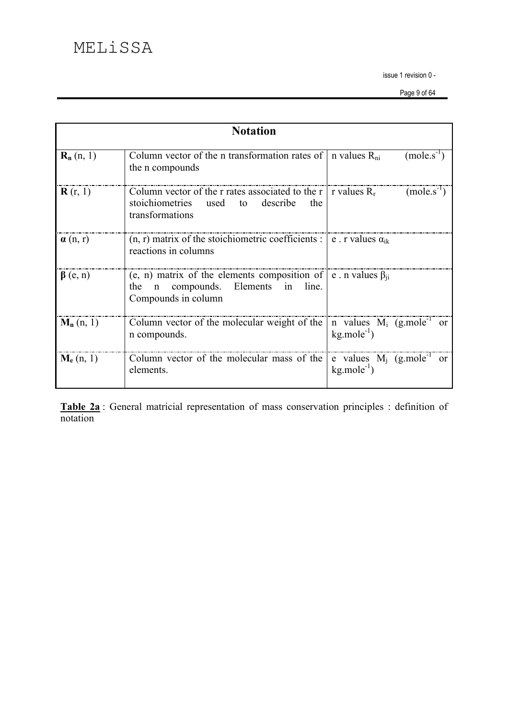|                         | <b>Notation</b>                                                                                                                                                          |                                                                      |
|-------------------------|--------------------------------------------------------------------------------------------------------------------------------------------------------------------------|----------------------------------------------------------------------|
| $\mathbf{R}_{n}$ (n, 1) | Column vector of the n transformation rates of<br>the <i>n</i> compounds                                                                                                 | $(mole.s^{-1})$<br>n values $R_{ni}$                                 |
| ${\bf R}$ (r, 1)        | Column vector of the r rates associated to the $r \mid$<br>stoichiometries<br>describe<br>used<br>to<br>the<br>transformations                                           | $(mole.s^{-1})$<br>r values $R_r$                                    |
| $\alpha$ (n, r)         | $(n, r)$ matrix of the stoichiometric coefficients : $\mathbf{e}$ . r values $\alpha_{ik}$<br>reactions in columns                                                       |                                                                      |
| $\beta$ (e, n)          | (e, n) matrix of the elements composition of $\vert e \rangle$ n values $\beta_{ii}$<br>compounds. Elements<br>line.<br>the<br>in<br>$\mathsf{n}$<br>Compounds in column |                                                                      |
| $M_n(n, 1)$             | Column vector of the molecular weight of the<br>n compounds.                                                                                                             | n values $M_i$ (g.mole <sup>-1</sup> or<br>$kg$ mole <sup>-1</sup> ) |
| $M_e(n, 1)$             | Column vector of the molecular mass of the<br>elements.                                                                                                                  | e values $M_i$ (g.mole <sup>-1</sup> or<br>$kg$ mole <sup>-1</sup> ) |

Table 2a: General matricial representation of mass conservation principles : definition of notation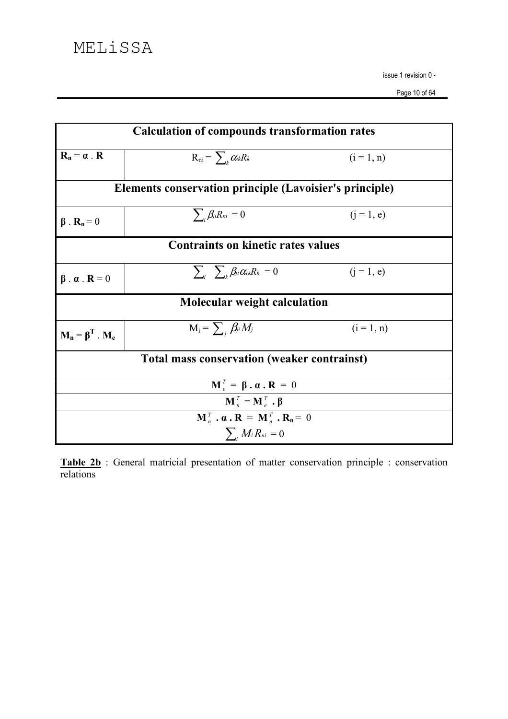| <b>Calculation of compounds transformation rates</b>                                                      |                                                     |              |  |  |
|-----------------------------------------------------------------------------------------------------------|-----------------------------------------------------|--------------|--|--|
| $\mathbf{R}_n = \boldsymbol{\alpha}$ . <b>R</b>                                                           | $R_{ni} = \sum_k \alpha_{ik} R_k$                   | $(i = 1, n)$ |  |  |
| <b>Elements conservation principle (Lavoisier's principle)</b>                                            |                                                     |              |  |  |
| $\beta$ . $\mathbf{R}_n = 0$                                                                              | $\sum_{i} \beta_{ji} R_{ni} = 0$                    | $(i = 1, e)$ |  |  |
| <b>Contraints on kinetic rates values</b>                                                                 |                                                     |              |  |  |
| $\beta \cdot \alpha$ . $R = 0$                                                                            | $\sum_{ii} \sum_{k} \beta_{ji} \alpha_{ik} R_k = 0$ | $(i = 1, e)$ |  |  |
| Molecular weight calculation                                                                              |                                                     |              |  |  |
| $M_n = \beta^T$ . M <sub>e</sub>                                                                          | $M_i = \sum_i \beta_{ji} M_j$                       | $(i = 1, n)$ |  |  |
| <b>Total mass conservation (weaker contrainst)</b>                                                        |                                                     |              |  |  |
| $\mathbf{M}_{e}^{T} = \mathbf{\beta} \cdot \mathbf{\alpha} \cdot \mathbf{R} = 0$                          |                                                     |              |  |  |
| $\mathbf{M}_{n}^{T} = \mathbf{M}_{e}^{T}$ . $\boldsymbol{\beta}$                                          |                                                     |              |  |  |
| $\mathbf{M}_{n}^{T} \cdot \mathbf{\alpha} \cdot \mathbf{R} = \mathbf{M}_{n}^{T} \cdot \mathbf{R}_{n} = 0$ |                                                     |              |  |  |
| $\sum_i M_i R_{ni} = 0$                                                                                   |                                                     |              |  |  |

Table 2b: General matricial presentation of matter conservation principle : conservation relations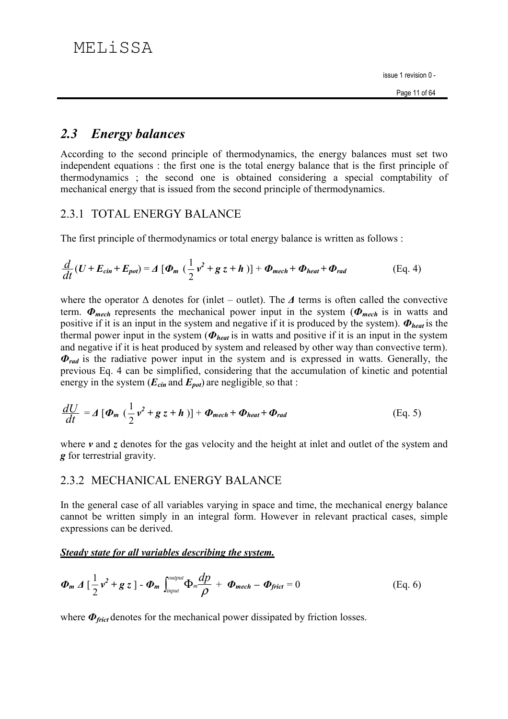#### **Energy balances**  $2.3$

According to the second principle of thermodynamics, the energy balances must set two independent equations: the first one is the total energy balance that is the first principle of thermodynamics; the second one is obtained considering a special comptability of mechanical energy that is issued from the second principle of thermodynamics.

## 2.3.1 TOTAL ENERGY BALANCE

The first principle of thermodynamics or total energy balance is written as follows:

$$
\frac{d}{dt}(U+E_{cin}+E_{pot})=A[\Phi_m(\frac{1}{2}v^2+g z+h)]+\Phi_{mech}+\Phi_{heat}+\Phi_{rad}
$$
 (Eq. 4)

where the operator  $\Delta$  denotes for (inlet – outlet). The  $\Delta$  terms is often called the convective term.  $\Phi_{mech}$  represents the mechanical power input in the system ( $\Phi_{mech}$  is in watts and positive if it is an input in the system and negative if it is produced by the system).  $\Phi_{heat}$  is the thermal power input in the system ( $\Phi_{heat}$  is in watts and positive if it is an input in the system and negative if it is heat produced by system and released by other way than convective term).  $\Phi_{rad}$  is the radiative power input in the system and is expressed in watts. Generally, the previous Eq. 4 can be simplified, considering that the accumulation of kinetic and potential energy in the system ( $E_{cin}$  and  $E_{pot}$ ) are negligible so that :

$$
\frac{dU}{dt} = A \left[ \Phi_m \left( \frac{1}{2} v^2 + g z + h \right) \right] + \Phi_{mech} + \Phi_{heat} + \Phi_{rad}
$$
 (Eq. 5)

where  $\nu$  and  $\tau$  denotes for the gas velocity and the height at inlet and outlet of the system and **g** for terrestrial gravity.

## 2.3.2 MECHANICAL ENERGY BALANCE

In the general case of all variables varying in space and time, the mechanical energy balance cannot be written simply in an integral form. However in relevant practical cases, simple expressions can be derived.

### Steady state for all variables describing the system.

$$
\boldsymbol{\Phi_m} \Delta \left[ \frac{1}{2} \boldsymbol{v}^2 + \boldsymbol{g} \boldsymbol{z} \right] - \boldsymbol{\Phi_m} \int_{input}^{output} \boldsymbol{\Phi_m} \frac{dp}{\rho} + \boldsymbol{\Phi_{mech}} - \boldsymbol{\Phi_{frict}} = 0
$$
 (Eq. 6)

where  $\Phi_{\text{frict}}$  denotes for the mechanical power dissipated by friction losses.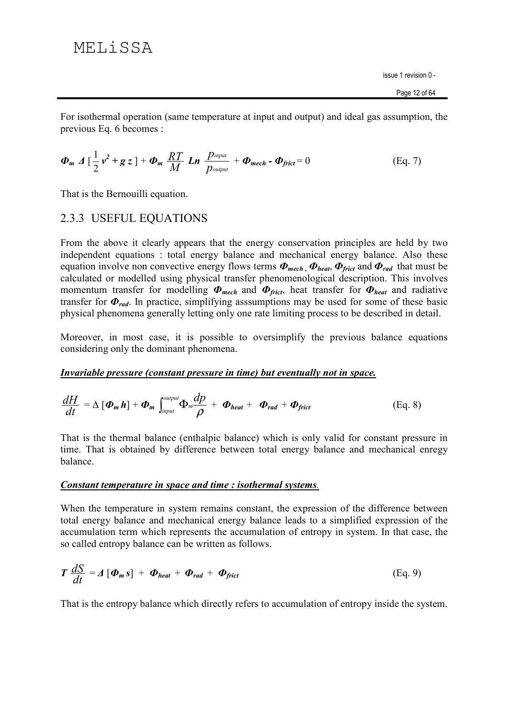For isothermal operation (same temperature at input and output) and ideal gas assumption, the previous Eq. 6 becomes :

$$
\boldsymbol{\Phi}_{m} \Delta \left[ \frac{1}{2} \boldsymbol{v}^{2} + \boldsymbol{g} \boldsymbol{z} \right] + \boldsymbol{\Phi}_{m} \frac{RT}{M} \boldsymbol{L} \boldsymbol{n} \frac{p_{input}}{p_{output}} + \boldsymbol{\Phi}_{mech} - \boldsymbol{\Phi}_{frict} = 0
$$
 (Eq. 7)

That is the Bernouilli equation.

## 2.3.3 USEFUL EQUATIONS

From the above it clearly appears that the energy conservation principles are held by two independent equations: total energy balance and mechanical energy balance. Also these equation involve non convective energy flows terms  $\Phi_{mech}$ ,  $\Phi_{heat}$ ,  $\Phi_{frict}$  and  $\Phi_{rad}$  that must be calculated or modelled using physical transfer phenomenological description. This involves momentum transfer for modelling  $\Phi_{mech}$  and  $\Phi_{frict}$ , heat transfer for  $\Phi_{heat}$  and radiative transfer for  $\Phi_{rad}$ . In practice, simplifying assumptions may be used for some of these basic physical phenomena generally letting only one rate limiting process to be described in detail.

Moreover, in most case, it is possible to oversimplify the previous balance equations considering only the dominant phenomena.

### Invariable pressure (constant pressure in time) but eventually not in space.

$$
\frac{dH}{dt} = \Delta \left[ \boldsymbol{\Phi}_{m} \boldsymbol{h} \right] + \boldsymbol{\Phi}_{m} \int_{input}^{output} \Phi_{m} \frac{dp}{\rho} + \boldsymbol{\Phi}_{heat} + \boldsymbol{\Phi}_{rad} + \boldsymbol{\Phi}_{frict}
$$
(Eq. 8)

That is the thermal balance (enthalpic balance) which is only valid for constant pressure in time. That is obtained by difference between total energy balance and mechanical enregy balance.

### Constant temperature in space and time : isothermal systems.

When the temperature in system remains constant, the expression of the difference between total energy balance and mechanical energy balance leads to a simplified expression of the accumulation term which represents the accumulation of entropy in system. In that case, the so called entropy balance can be written as follows.

$$
T \frac{dS}{dt} = \Delta [\Phi_m s] + \Phi_{heat} + \Phi_{rad} + \Phi_{frict}
$$
 (Eq. 9)

That is the entropy balance which directly refers to accumulation of entropy inside the system.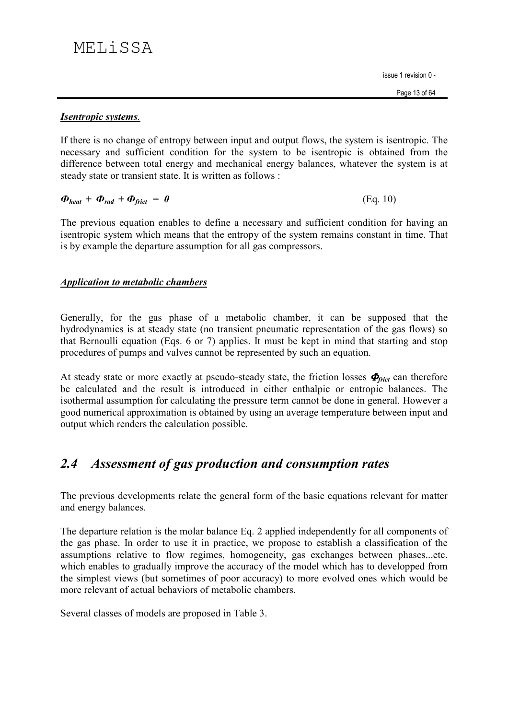$(Eq. 10)$ 

### **Isentropic systems.**

If there is no change of entropy between input and output flows, the system is isentropic. The necessary and sufficient condition for the system to be isentropic is obtained from the difference between total energy and mechanical energy balances, whatever the system is at steady state or transient state. It is written as follows :

$$
\boldsymbol{\Phi}_{heat} + \boldsymbol{\Phi}_{rad} + \boldsymbol{\Phi}_{frict} = \boldsymbol{\theta}
$$

The previous equation enables to define a necessary and sufficient condition for having an isentropic system which means that the entropy of the system remains constant in time. That is by example the departure assumption for all gas compressors.

## **Application to metabolic chambers**

Generally, for the gas phase of a metabolic chamber, it can be supposed that the hydrodynamics is at steady state (no transient pneumatic representation of the gas flows) so that Bernoulli equation (Eqs. 6 or 7) applies. It must be kept in mind that starting and stop procedures of pumps and valves cannot be represented by such an equation.

At steady state or more exactly at pseudo-steady state, the friction losses  $\Phi_{\text{frict}}$  can therefore be calculated and the result is introduced in either enthalpic or entropic balances. The isothermal assumption for calculating the pressure term cannot be done in general. However a good numerical approximation is obtained by using an average temperature between input and output which renders the calculation possible.

#### Assessment of gas production and consumption rates  $2.4$

The previous developments relate the general form of the basic equations relevant for matter and energy balances.

The departure relation is the molar balance Eq. 2 applied independently for all components of the gas phase. In order to use it in practice, we propose to establish a classification of the assumptions relative to flow regimes, homogeneity, gas exchanges between phases...etc. which enables to gradually improve the accuracy of the model which has to developped from the simplest views (but sometimes of poor accuracy) to more evolved ones which would be more relevant of actual behaviors of metabolic chambers.

Several classes of models are proposed in Table 3.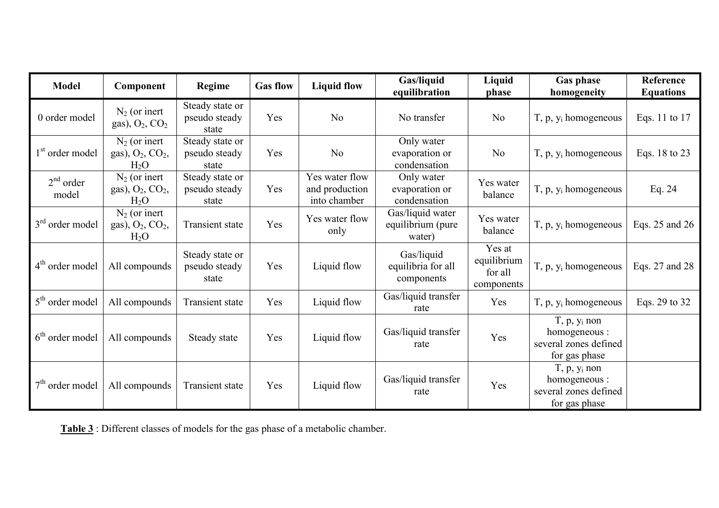| <b>Model</b>                | Component                                                             | Regime                                    | <b>Gas flow</b> | <b>Liquid flow</b>                               | Gas/liquid<br>equilibration                     | Liquid<br>phase                                | <b>Gas phase</b><br>homogeneity                                                 | Reference<br><b>Equations</b> |
|-----------------------------|-----------------------------------------------------------------------|-------------------------------------------|-----------------|--------------------------------------------------|-------------------------------------------------|------------------------------------------------|---------------------------------------------------------------------------------|-------------------------------|
| 0 order model               | $N_2$ (or inert<br>gas), $O_2$ , $CO_2$                               | Steady state or<br>pseudo steady<br>state | Yes             | N <sub>o</sub>                                   | No transfer                                     | N <sub>o</sub>                                 | $T$ , p, $y_i$ homogeneous                                                      | Eqs. 11 to 17                 |
| 1 <sup>st</sup> order model | $N_2$ (or inert<br>gas), $O_2$ , $CO_2$ ,<br>$H_2O$                   | Steady state or<br>pseudo steady<br>state | Yes             | N <sub>o</sub>                                   | Only water<br>evaporation or<br>condensation    | N <sub>o</sub>                                 | $T$ , p, $y_i$ homogeneous                                                      | Eqs. 18 to 23                 |
| $2nd$ order<br>model        | $N_2$ (or inert<br>gas), O <sub>2</sub> , CO <sub>2</sub> ,<br>$H_2O$ | Steady state or<br>pseudo steady<br>state | Yes             | Yes water flow<br>and production<br>into chamber | Only water<br>evaporation or<br>condensation    | Yes water<br>balance                           | $T$ , p, $y_i$ homogeneous                                                      | Eq. $24$                      |
| $3rd$ order model           | $N_2$ (or inert<br>gas), $O_2$ , $CO_2$ ,<br>$H_2O$                   | <b>Transient state</b>                    | Yes             | Yes water flow<br>only                           | Gas/liquid water<br>equilibrium (pure<br>water) | Yes water<br>balance                           | $T$ , p, $y_i$ homogeneous                                                      | Eqs. 25 and 26                |
| $4th$ order model           | All compounds                                                         | Steady state or<br>pseudo steady<br>state | Yes             | Liquid flow                                      | Gas/liquid<br>equilibria for all<br>components  | Yes at<br>equilibrium<br>for all<br>components | $T$ , p, $y_i$ homogeneous                                                      | Eqs. 27 and 28                |
| $5th$ order model           | All compounds                                                         | <b>Transient state</b>                    | Yes             | Liquid flow                                      | Gas/liquid transfer<br>rate                     | Yes                                            | $T$ , p, $y_i$ homogeneous                                                      | Eqs. 29 to 32                 |
| $6th$ order model           | All compounds                                                         | Steady state                              | Yes             | Liquid flow                                      | Gas/liquid transfer<br>rate                     | Yes                                            | $T$ , $p$ , $y_i$ non<br>homogeneous:<br>several zones defined<br>for gas phase |                               |
| $7th$ order model           | All compounds                                                         | Transient state                           | Yes             | Liquid flow                                      | Gas/liquid transfer<br>rate                     | Yes                                            | $T$ , p, $y_i$ non<br>homogeneous :<br>several zones defined<br>for gas phase   |                               |

Table 3: Different classes of models for the gas phase of a metabolic chamber.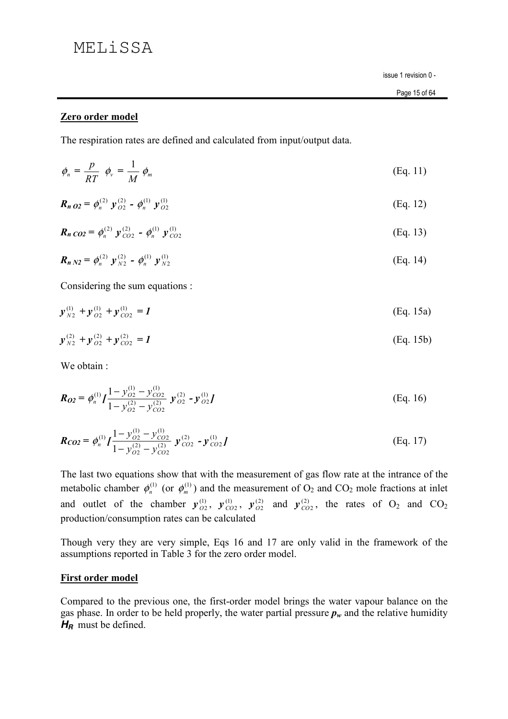# MELiSSA

issue 1 revision 0 -

### Zero order model

The respiration rates are defined and calculated from input/output data.

$$
\phi_n = \frac{p}{RT} \phi_v = \frac{1}{M} \phi_m \tag{Eq. 11}
$$

$$
\boldsymbol{R}_{n\,02} = \phi_n^{(2)} \ \mathbf{y}_{02}^{(2)} - \phi_n^{(1)} \ \mathbf{y}_{02}^{(1)} \tag{Eq. 12}
$$

$$
\boldsymbol{R}_{n} \cos = \phi_{n}^{(2)} \boldsymbol{y}_{CO2}^{(2)} - \phi_{n}^{(1)} \boldsymbol{y}_{CO2}^{(1)} \tag{Eq. 13}
$$

$$
\boldsymbol{R}_{n N2} = \phi_n^{(2)} \ \mathbf{y}_{N2}^{(2)} - \phi_n^{(1)} \ \mathbf{y}_{N2}^{(1)} \tag{Eq. 14}
$$

Considering the sum equations :

$$
y_{N2}^{(1)} + y_{O2}^{(1)} + y_{CO2}^{(1)} = 1
$$
 (Eq. 15a)

$$
y_{N2}^{(2)} + y_{O2}^{(2)} + y_{CO2}^{(2)} = I
$$
 (Eq. 15b)

We obtain:

$$
\boldsymbol{R_{02}} = \phi_n^{(1)} I \frac{1 - y_{02}^{(1)} - y_{CO2}^{(1)}}{1 - y_{02}^{(2)} - y_{CO2}^{(2)}} \boldsymbol{y}_{O2}^{(2)} - \boldsymbol{y}_{O2}^{(1)} I \tag{Eq. 16}
$$

$$
\boldsymbol{R_{CO2}} = \phi_n^{(1)} I \frac{1 - y_{O2}^{(1)} - y_{CO2}^{(1)}}{1 - y_{O2}^{(2)} - y_{CO2}^{(2)}} \boldsymbol{y}_{CO2}^{(2)} - \boldsymbol{y}_{CO2}^{(1)} I \tag{Eq. 17}
$$

The last two equations show that with the measurement of gas flow rate at the intrance of the metabolic chamber  $\phi_n^{(1)}$  (or  $\phi_m^{(1)}$ ) and the measurement of  $O_2$  and  $CO_2$  mole fractions at inlet and outlet of the chamber  $y_{O2}^{(1)}$ ,  $y_{CO2}^{(1)}$ ,  $y_{O2}^{(2)}$  and  $y_{CO2}^{(2)}$ , the rates of O<sub>2</sub> and CO<sub>2</sub> production/consumption rates can be calculated

Though very they are very simple, Eqs 16 and 17 are only valid in the framework of the assumptions reported in Table 3 for the zero order model.

### **First order model**

Compared to the previous one, the first-order model brings the water vapour balance on the gas phase. In order to be held properly, the water partial pressure  $p_w$  and the relative humidity  $H<sub>B</sub>$  must be defined.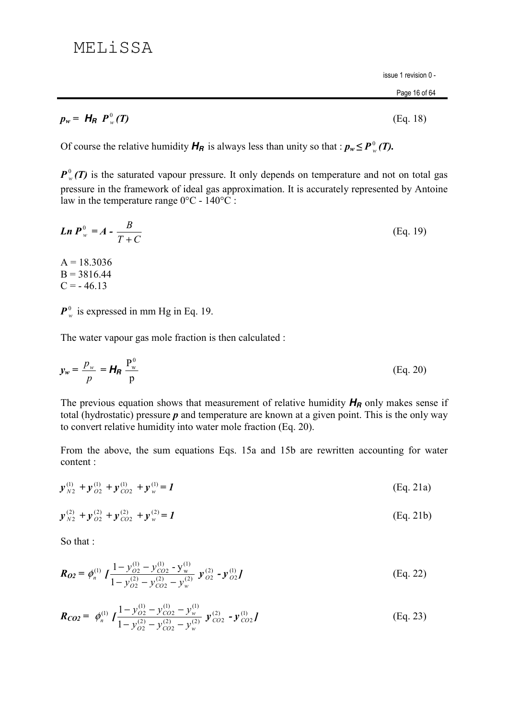#### Page 16 of 64

 $(Eq. 18)$ 

$$
p_w = H_R P_w^0(T)
$$

Of course the relative humidity  $H_R$  is always less than unity so that :  $p_w \le P_w^0(T)$ .

 $P_w^0(T)$  is the saturated vapour pressure. It only depends on temperature and not on total gas pressure in the framework of ideal gas approximation. It is accurately represented by Antoine law in the temperature range  $0^{\circ}$ C - 140<sup>o</sup>C :

*Ln* 
$$
P_w^0 = A - \frac{B}{T + C}
$$
 (Eq. 19)  
\nA = 18.3036  
\nB = 3816.44  
\nC = -46.13

 $P_w^0$  is expressed in mm Hg in Eq. 19.

The water vapour gas mole fraction is then calculated :

$$
y_w = \frac{p_w}{p} = H_R \frac{P_w^0}{p}
$$
 (Eq. 20)

The previous equation shows that measurement of relative humidity  $H_R$  only makes sense if total (hydrostatic) pressure  $p$  and temperature are known at a given point. This is the only way to convert relative humidity into water mole fraction (Eq. 20).

From the above, the sum equations Eqs. 15a and 15b are rewritten accounting for water content:

$$
\mathbf{y}_{N2}^{(1)} + \mathbf{y}_{O2}^{(1)} + \mathbf{y}_{CO2}^{(1)} + \mathbf{y}_{w}^{(1)} = \mathbf{I}
$$
 (Eq. 21a)

$$
y_{N2}^{(2)} + y_{O2}^{(2)} + y_{CO2}^{(2)} + y_{w}^{(2)} = I
$$
 (Eq. 21b)

So that:

$$
\boldsymbol{R_{02}} = \phi_n^{(1)} \int \frac{1 - y_{02}^{(1)} - y_{CO2}^{(1)} - y_{w}^{(1)}}{1 - y_{02}^{(2)} - y_{CO2}^{(2)} - y_{w}^{(2)}} \boldsymbol{y}_{02}^{(2)} - \boldsymbol{y}_{02}^{(1)} \boldsymbol{J}
$$
(Eq. 22)

$$
\boldsymbol{R}_{CO2} = \phi_n^{(1)} I \frac{1 - y_{O2}^{(1)} - y_{CO2}^{(1)} - y_w^{(1)}}{1 - y_{O2}^{(2)} - y_{CO2}^{(2)} - y_w^{(2)}} \boldsymbol{y}_{CO2}^{(2)} - \boldsymbol{y}_{CO2}^{(1)} I \tag{Eq. 23}
$$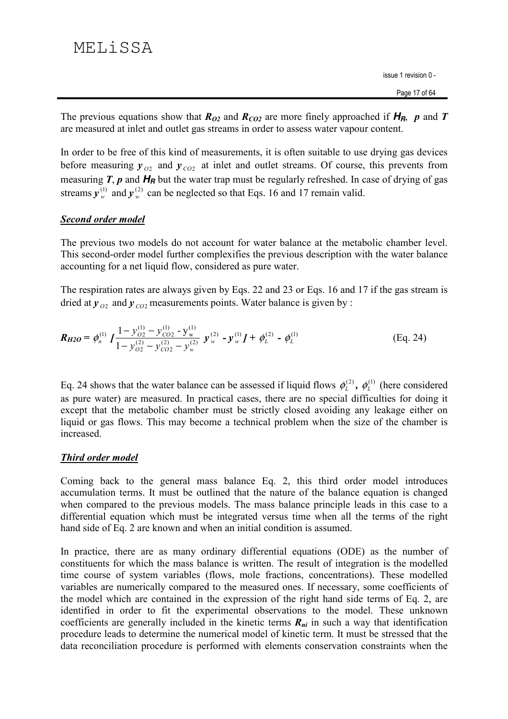The previous equations show that  $R_{O2}$  and  $R_{CO2}$  are more finely approached if  $H_R$ , p and T are measured at inlet and outlet gas streams in order to assess water vapour content.

In order to be free of this kind of measurements, it is often suitable to use drying gas devices before measuring  $y_{O2}$  and  $y_{CO2}$  at inlet and outlet streams. Of course, this prevents from measuring  $T$ ,  $p$  and  $H_R$  but the water trap must be regularly refreshed. In case of drying of gas streams  $y_w^{(1)}$  and  $y_w^{(2)}$  can be neglected so that Eqs. 16 and 17 remain valid.

## Second order model

The previous two models do not account for water balance at the metabolic chamber level. This second-order model further complexifies the previous description with the water balance accounting for a net liquid flow, considered as pure water.

The respiration rates are always given by Eqs. 22 and 23 or Eqs. 16 and 17 if the gas stream is dried at  $y_{02}$  and  $y_{02}$  measurements points. Water balance is given by :

$$
\boldsymbol{R_{H2O}} = \phi_n^{(1)} \int \frac{1 - y_{O2}^{(1)} - y_{CO2}^{(1)} - y_w^{(1)}}{1 - y_{O2}^{(2)} - y_{CO2}^{(2)} - y_w^{(2)}} \boldsymbol{y}_w^{(2)} - \boldsymbol{y}_w^{(1)} \boldsymbol{J} + \phi_L^{(2)} - \phi_L^{(1)}
$$
(Eq. 24)

Eq. 24 shows that the water balance can be assessed if liquid flows  $\phi_L^{(2)}$ ,  $\phi_L^{(1)}$  (here considered as pure water) are measured. In practical cases, there are no special difficulties for doing it except that the metabolic chamber must be strictly closed avoiding any leakage either on liquid or gas flows. This may become a technical problem when the size of the chamber is increased.

## **Third order model**

Coming back to the general mass balance Eq. 2, this third order model introduces accumulation terms. It must be outlined that the nature of the balance equation is changed when compared to the previous models. The mass balance principle leads in this case to a differential equation which must be integrated versus time when all the terms of the right hand side of Eq. 2 are known and when an initial condition is assumed.

In practice, there are as many ordinary differential equations (ODE) as the number of constituents for which the mass balance is written. The result of integration is the modelled time course of system variables (flows, mole fractions, concentrations). These modelled variables are numerically compared to the measured ones. If necessary, some coefficients of the model which are contained in the expression of the right hand side terms of Eq. 2, are identified in order to fit the experimental observations to the model. These unknown coefficients are generally included in the kinetic terms  $R_{ni}$  in such a way that identification procedure leads to determine the numerical model of kinetic term. It must be stressed that the data reconciliation procedure is performed with elements conservation constraints when the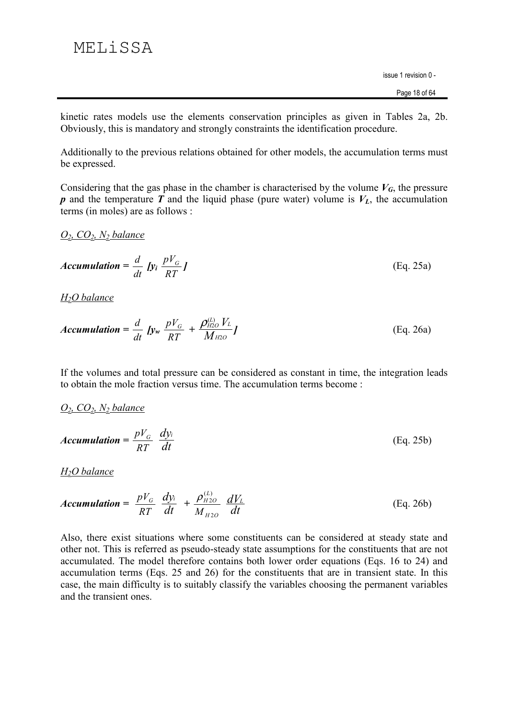# MELiSSA

issue 1 revision 0 -

kinetic rates models use the elements conservation principles as given in Tables 2a, 2b. Obviously, this is mandatory and strongly constraints the identification procedure.

Additionally to the previous relations obtained for other models, the accumulation terms must be expressed.

Considering that the gas phase in the chamber is characterised by the volume  $V_G$ , the pressure p and the temperature  $\vec{T}$  and the liquid phase (pure water) volume is  $V_L$ , the accumulation terms (in moles) are as follows :

### $O_2$ ,  $CO_2$ ,  $N_2$  balance

**Accumulation** = 
$$
\frac{d}{dt}
$$
 [y<sub>i</sub>  $\frac{pV_G}{RT}$ ] (Eq. 25a)

 $H<sub>2</sub>O$  balance

$$
Accumulation = \frac{d}{dt} \int y_w \frac{pV_G}{RT} + \frac{\rho_{H2O}^{(L)} V_L}{M_{H2O}} J
$$
 (Eq. 26a)

If the volumes and total pressure can be considered as constant in time, the integration leads to obtain the mole fraction versus time. The accumulation terms become:

$$
O_2
$$
,  $CO_2$ ,  $N_2$  balance

$$
Accumulation = \frac{pV_G}{RT} \frac{dy_i}{dt}
$$
 (Eq. 25b)

 $H<sub>2</sub>O$  balance

$$
Accumulation = \frac{pV_G}{RT} \frac{dy_i}{dt} + \frac{\rho_{H2O}^{(L)}}{M_{H2O}} \frac{dV_L}{dt}
$$
 (Eq. 26b)

Also, there exist situations where some constituents can be considered at steady state and other not. This is referred as pseudo-steady state assumptions for the constituents that are not accumulated. The model therefore contains both lower order equations (Eqs. 16 to 24) and accumulation terms (Eqs. 25 and 26) for the constituents that are in transient state. In this case, the main difficulty is to suitably classify the variables choosing the permanent variables and the transient ones.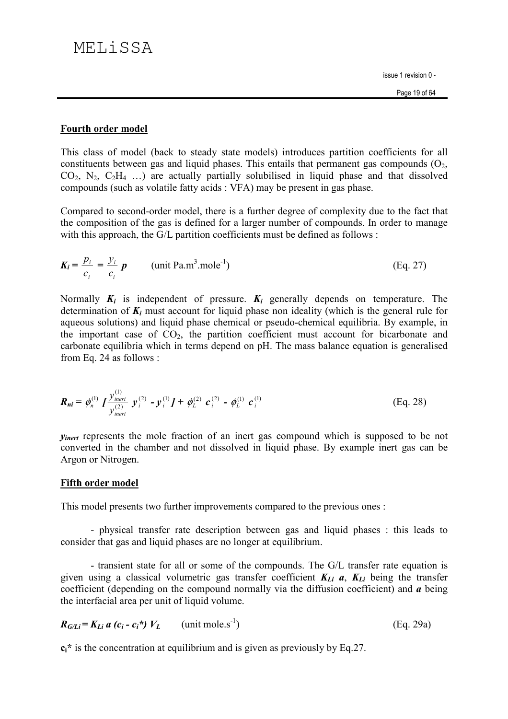### **Fourth order model**

This class of model (back to steady state models) introduces partition coefficients for all constituents between gas and liquid phases. This entails that permanent gas compounds  $(O_2, Q_3)$  $CO_2$ , N<sub>2</sub>,  $C_2H_4$  ...) are actually partially solubilised in liquid phase and that dissolved compounds (such as volatile fatty acids : VFA) may be present in gas phase.

Compared to second-order model, there is a further degree of complexity due to the fact that the composition of the gas is defined for a larger number of compounds. In order to manage with this approach, the G/L partition coefficients must be defined as follows:

$$
K_i = \frac{p_i}{c_i} = \frac{y_i}{c_i} p \qquad \text{(unit Pa.m}^3 \text{.} \text{mole}^{-1}\text{)} \tag{Eq. 27}
$$

Normally  $K_i$  is independent of pressure.  $K_i$  generally depends on temperature. The determination of  $K_i$  must account for liquid phase non ideality (which is the general rule for aqueous solutions) and liquid phase chemical or pseudo-chemical equilibria. By example, in the important case of  $CO<sub>2</sub>$ , the partition coefficient must account for bicarbonate and carbonate equilibria which in terms depend on pH. The mass balance equation is generalised from Eq. 24 as follows :

$$
\boldsymbol{R}_{ni} = \phi_n^{(1)} \int \frac{\mathcal{Y}_{inert}^{(1)}}{\mathcal{Y}_{inert}^{(2)}} \ \mathcal{Y}_i^{(2)} \ - \mathcal{Y}_i^{(1)} \int \ + \ \phi_L^{(2)} \ \mathcal{C}_i^{(2)} \ - \ \phi_L^{(1)} \ \mathcal{C}_i^{(1)} \tag{Eq. 28}
$$

*Vinert* represents the mole fraction of an inert gas compound which is supposed to be not converted in the chamber and not dissolved in liquid phase. By example inert gas can be Argon or Nitrogen.

### **Fifth order model**

This model presents two further improvements compared to the previous ones :

- physical transfer rate description between gas and liquid phases : this leads to consider that gas and liquid phases are no longer at equilibrium.

- transient state for all or some of the compounds. The G/L transfer rate equation is given using a classical volumetric gas transfer coefficient  $K_{Li}$  a,  $K_{Li}$  being the transfer coefficient (depending on the compound normally via the diffusion coefficient) and  $\boldsymbol{a}$  being the interfacial area per unit of liquid volume.

$$
R_{G/Li} = K_{Li} a (c_i - c_i^*) V_L \qquad \text{(unit mole.s}^{-1}\text{)}
$$
 (Eq. 29a)

 $c_i^*$  is the concentration at equilibrium and is given as previously by Eq.27.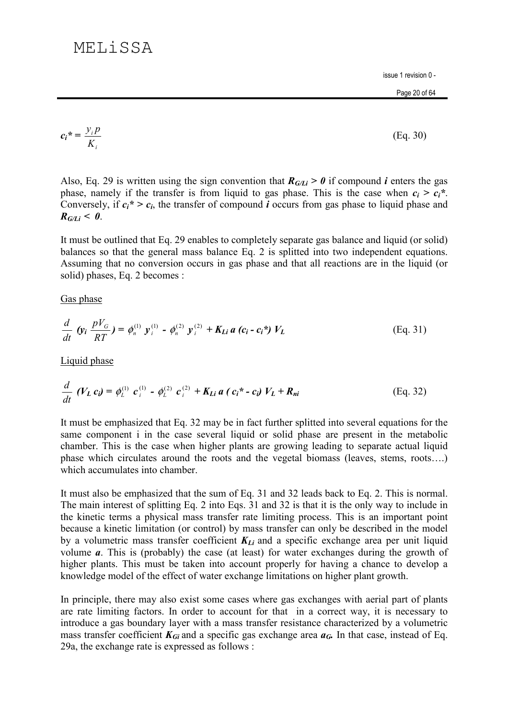# MEL<sub>j</sub> SSA

issue 1 revision 0 -

$$
c_i^* = \frac{y_i p}{K_i} \tag{Eq. 30}
$$

Also, Eq. 29 is written using the sign convention that  $R_{G/L} > 0$  if compound *i* enters the gas phase, namely if the transfer is from liquid to gas phase. This is the case when  $c_i > c_i^*$ . Conversely, if  $c_i^* > c_i$ , the transfer of compound *i* occurs from gas phase to liquid phase and  $R_{G/I,i} < 0$ .

It must be outlined that Eq. 29 enables to completely separate gas balance and liquid (or solid) balances so that the general mass balance Eq. 2 is splitted into two independent equations. Assuming that no conversion occurs in gas phase and that all reactions are in the liquid (or solid) phases, Eq. 2 becomes :

Gas phase

$$
\frac{d}{dt} \left( y_i \frac{pV_G}{RT} \right) = \phi_n^{(1)} y_i^{(1)} - \phi_n^{(2)} y_i^{(2)} + K_{Li} a \left( c_i - c_i \right) V_L
$$
\n(Eq. 31)

Liquid phase

$$
\frac{d}{dt} \left( V_L c_i \right) = \phi_L^{(1)} \left( c_i^{(1)} - \phi_L^{(2)} \right) c_i^{(2)} + K_{Li} a \left( c_i^* - c_i \right) V_L + R_{ni} \tag{Eq. 32}
$$

It must be emphasized that Eq. 32 may be in fact further splitted into several equations for the same component i in the case several liquid or solid phase are present in the metabolic chamber. This is the case when higher plants are growing leading to separate actual liquid phase which circulates around the roots and the vegetal biomass (leaves, stems, roots....) which accumulates into chamber.

It must also be emphasized that the sum of Eq. 31 and 32 leads back to Eq. 2. This is normal. The main interest of splitting Eq. 2 into Eqs. 31 and 32 is that it is the only way to include in the kinetic terms a physical mass transfer rate limiting process. This is an important point because a kinetic limitation (or control) by mass transfer can only be described in the model by a volumetric mass transfer coefficient  $K_{Li}$  and a specific exchange area per unit liquid volume  $a$ . This is (probably) the case (at least) for water exchanges during the growth of higher plants. This must be taken into account properly for having a chance to develop a knowledge model of the effect of water exchange limitations on higher plant growth.

In principle, there may also exist some cases where gas exchanges with aerial part of plants are rate limiting factors. In order to account for that in a correct way, it is necessary to introduce a gas boundary layer with a mass transfer resistance characterized by a volumetric mass transfer coefficient  $K_{Gi}$  and a specific gas exchange area  $a_G$ . In that case, instead of Eq. 29a, the exchange rate is expressed as follows :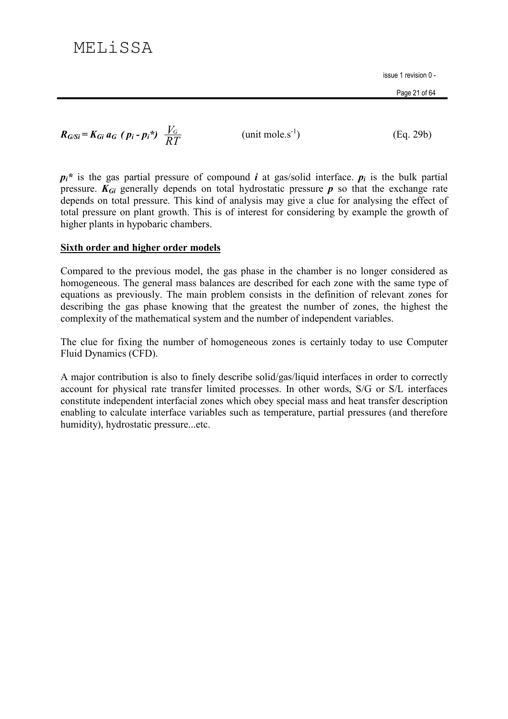Page 21 of 64

 $R_{G/Si} = K_{Gi} a_G (p_i - p_i^*) \frac{V_G}{RT}$ 

(unit mole.s<sup>-1</sup>)

 $(Eq. 29b)$ 

 $p_i^*$  is the gas partial pressure of compound *i* at gas/solid interface.  $p_i$  is the bulk partial pressure.  $K_{Gi}$  generally depends on total hydrostatic pressure p so that the exchange rate depends on total pressure. This kind of analysis may give a clue for analysing the effect of total pressure on plant growth. This is of interest for considering by example the growth of higher plants in hypobaric chambers.

### Sixth order and higher order models

Compared to the previous model, the gas phase in the chamber is no longer considered as homogeneous. The general mass balances are described for each zone with the same type of equations as previously. The main problem consists in the definition of relevant zones for describing the gas phase knowing that the greatest the number of zones, the highest the complexity of the mathematical system and the number of independent variables.

The clue for fixing the number of homogeneous zones is certainly today to use Computer Fluid Dynamics (CFD).

A major contribution is also to finely describe solid/gas/liquid interfaces in order to correctly account for physical rate transfer limited processes. In other words, S/G or S/L interfaces constitute independent interfacial zones which obey special mass and heat transfer description enabling to calculate interface variables such as temperature, partial pressures (and therefore humidity), hydrostatic pressure...etc.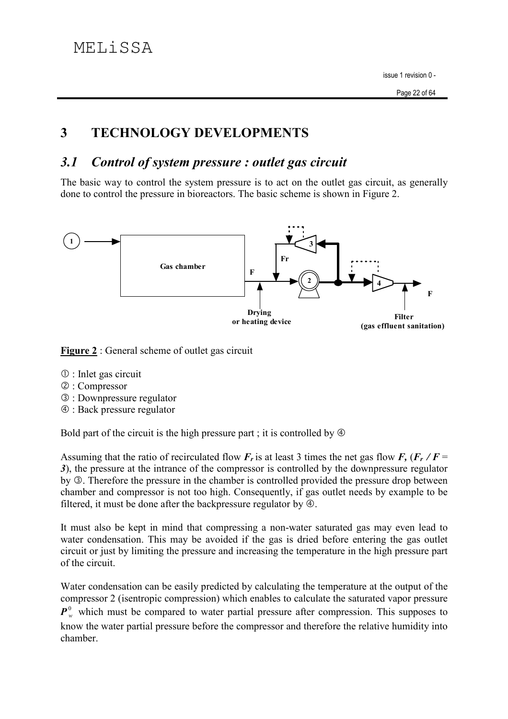#### 3 **TECHNOLOGY DEVELOPMENTS**

#### Control of system pressure : outlet gas circuit  $3.1$

The basic way to control the system pressure is to act on the outlet gas circuit, as generally done to control the pressure in bioreactors. The basic scheme is shown in Figure 2.



Figure 2 : General scheme of outlet gas circuit

- $\mathbb{O}$ : Inlet gas circuit
- 2: Compressor
- **3** : Downpressure regulator
- 4 : Back pressure regulator

Bold part of the circuit is the high pressure part; it is controlled by  $\Phi$ 

Assuming that the ratio of recirculated flow  $F_r$  is at least 3 times the net gas flow  $F_r$ ,  $(F_r / F =$ 3), the pressure at the intrance of the compressor is controlled by the downpressure regulator by **3**. Therefore the pressure in the chamber is controlled provided the pressure drop between chamber and compressor is not too high. Consequently, if gas outlet needs by example to be filtered, it must be done after the backpressure regulator by  $\Phi$ .

It must also be kept in mind that compressing a non-water saturated gas may even lead to water condensation. This may be avoided if the gas is dried before entering the gas outlet circuit or just by limiting the pressure and increasing the temperature in the high pressure part of the circuit.

Water condensation can be easily predicted by calculating the temperature at the output of the compressor 2 (isentropic compression) which enables to calculate the saturated vapor pressure  $\mathbf{P}_{w}^{\theta}$  which must be compared to water partial pressure after compression. This supposes to know the water partial pressure before the compressor and therefore the relative humidity into chamber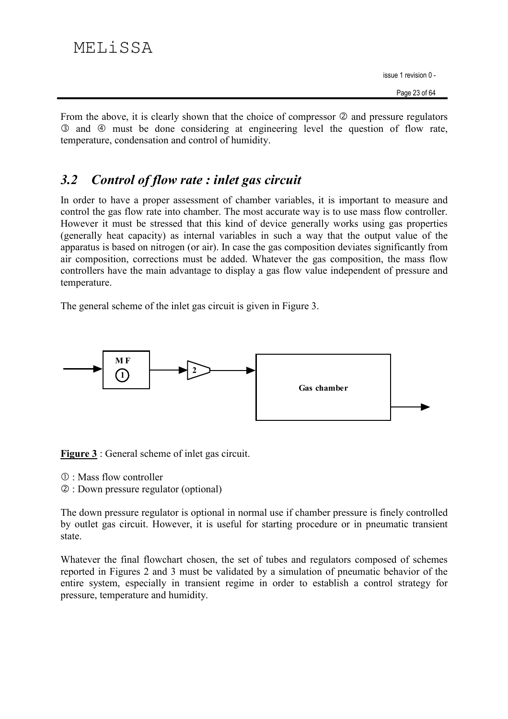From the above, it is clearly shown that the choice of compressor  $\oslash$  and pressure regulators 3 and 4 must be done considering at engineering level the question of flow rate. temperature, condensation and control of humidity.

#### Control of flow rate : inlet gas circuit  $3.2$

In order to have a proper assessment of chamber variables, it is important to measure and control the gas flow rate into chamber. The most accurate way is to use mass flow controller. However it must be stressed that this kind of device generally works using gas properties (generally heat capacity) as internal variables in such a way that the output value of the apparatus is based on nitrogen (or air). In case the gas composition deviates significantly from air composition, corrections must be added. Whatever the gas composition, the mass flow controllers have the main advantage to display a gas flow value independent of pressure and temperature.

The general scheme of the inlet gas circuit is given in Figure 3.



**Figure 3** : General scheme of inlet gas circuit.

- $\mathbb{O}$ : Mass flow controller
- 2: Down pressure regulator (optional)

The down pressure regulator is optional in normal use if chamber pressure is finely controlled by outlet gas circuit. However, it is useful for starting procedure or in pneumatic transient state.

Whatever the final flowchart chosen, the set of tubes and regulators composed of schemes reported in Figures 2 and 3 must be validated by a simulation of pneumatic behavior of the entire system, especially in transient regime in order to establish a control strategy for pressure, temperature and humidity.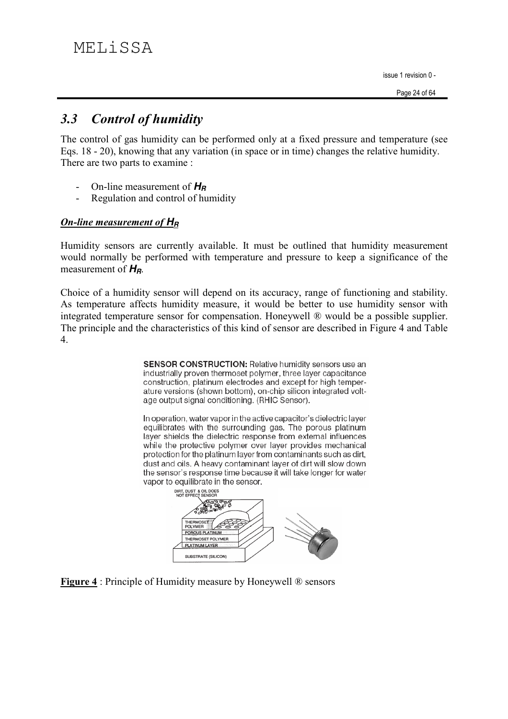#### **Control of humidity**  $3.3$

The control of gas humidity can be performed only at a fixed pressure and temperature (see Eqs. 18 - 20), knowing that any variation (in space or in time) changes the relative humidity. There are two parts to examine :

- On-line measurement of  $H_B$
- $\overline{a}$ Regulation and control of humidity

## On-line measurement of  $H<sub>B</sub>$

Humidity sensors are currently available. It must be outlined that humidity measurement would normally be performed with temperature and pressure to keep a significance of the measurement of  $H_R$ .

Choice of a humidity sensor will depend on its accuracy, range of functioning and stability. As temperature affects humidity measure, it would be better to use humidity sensor with integrated temperature sensor for compensation. Honeywell ® would be a possible supplier. The principle and the characteristics of this kind of sensor are described in Figure 4 and Table  $\overline{4}$ .

> SENSOR CONSTRUCTION: Relative humidity sensors use an industrially proven thermoset polymer, three layer capacitance construction, platinum electrodes and except for high temperature versions (shown bottom), on-chip silicon integrated voltage output signal conditioning. (RHIC Sensor).

> In operation, water vapor in the active capacitor's dielectric layer equilibrates with the surrounding gas. The porous platinum layer shields the dielectric response from external influences while the protective polymer over layer provides mechanical protection for the platinum layer from contaminants such as dirt, dust and oils. A heavy contaminant layer of dirt will slow down the sensor's response time because it will take longer for water vapor to equilibrate in the sensor.



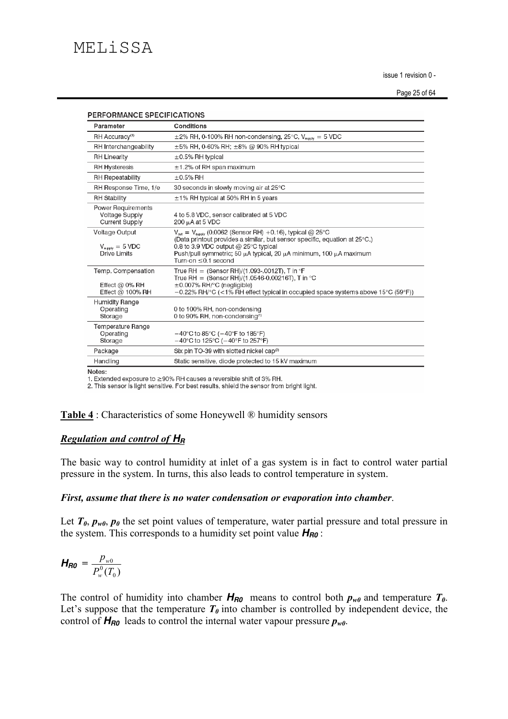| <b>PERFORMANCE SPECIFICATIONS</b>                                     |                                                                                                                                                                                                                                                                                                                   |  |  |  |
|-----------------------------------------------------------------------|-------------------------------------------------------------------------------------------------------------------------------------------------------------------------------------------------------------------------------------------------------------------------------------------------------------------|--|--|--|
| Parameter                                                             | Conditions                                                                                                                                                                                                                                                                                                        |  |  |  |
| RH Accuracy <sup>(1)</sup>                                            | $\pm$ 2% RH, 0-100% RH non-condensing, 25°C, V <sub>supply</sub> = 5 VDC                                                                                                                                                                                                                                          |  |  |  |
| RH Interchangeability                                                 | $\pm 5\%$ RH, 0-60% RH; $\pm 8\%$ @ 90% RH typical                                                                                                                                                                                                                                                                |  |  |  |
| <b>RH Linearity</b>                                                   | $\pm 0.5\%$ RH typical                                                                                                                                                                                                                                                                                            |  |  |  |
| <b>RH Hysteresis</b>                                                  | $\pm$ 1.2% of RH span maximum                                                                                                                                                                                                                                                                                     |  |  |  |
| <b>RH Repeatability</b>                                               | $\pm$ 0.5% RH                                                                                                                                                                                                                                                                                                     |  |  |  |
| RH Response Time, 1/e                                                 | 30 seconds in slowly moving air at 25°C                                                                                                                                                                                                                                                                           |  |  |  |
| <b>RH Stability</b>                                                   | $\pm$ 1% RH typical at 50% RH in 5 years                                                                                                                                                                                                                                                                          |  |  |  |
| Power Requirements<br><b>Voltage Supply</b><br><b>Current Supply</b>  | 4 to 5.8 VDC, sensor calibrated at 5 VDC<br>$200 \mu A$ at 5 VDC                                                                                                                                                                                                                                                  |  |  |  |
| Voltage Output<br>$V_{\text{suppiv}} = 5 \text{ VDC}$<br>Drive Limits | $V_{\text{out}} = V_{\text{smooth}}$ (0.0062 (Sensor RH) +0.16), typical @ 25°C<br>(Data printout provides a similar, but sensor specific, equation at 25°C.)<br>0.8 to 3.9 VDC output @ 25 $\degree$ C typical<br>Push/pull symmetric; 50 μA typical, 20 μA minimum, 100 μA maximum<br>Turn-on $\leq$ 0.1 second |  |  |  |
| Temp. Compensation<br>Effect @ $0\%$ RH<br>Effect @ $100\%$ RH        | True RH = $(Sensor RH)/(1.093-0012T)$ , T in $\mathcal{F}$<br>True RH = $(Sensor RH)/(1.0546-0.00216T)$ . T in °C<br>±0.007% RH/°C (negligible)<br>$-0.22\%$ RH/°C (<1% RH effect typical in occupied space systems above 15°C (59°F))                                                                            |  |  |  |
| Humidity Range<br>Operating<br>Storage                                | 0 to 100% RH, non-condensing<br>0 to 90% RH, non-condensing <sup>(1)</sup>                                                                                                                                                                                                                                        |  |  |  |
| Temperature Range<br>Operating<br>Storage                             | $-40^{\circ}$ C to 85 $^{\circ}$ C ( $-40^{\circ}$ F to 185 $^{\circ}$ F)<br>$-40^{\circ}$ C to 125 $^{\circ}$ C ( $-40^{\circ}$ F to 257 $^{\circ}$ F)                                                                                                                                                           |  |  |  |
| Package                                                               | Six pin TO-39 with slotted nickel cap <sup>®</sup>                                                                                                                                                                                                                                                                |  |  |  |
| Handling                                                              | Static sensitive, diode protected to 15 kV maximum                                                                                                                                                                                                                                                                |  |  |  |

Notes:

1. Extended exposure to ≥90% RH causes a reversible shift of 3% RH.

2. This sensor is light sensitive. For best results, shield the sensor from bright light.

### Table 4 : Characteristics of some Honeywell ® humidity sensors

### **Regulation and control of HR**

The basic way to control humidity at inlet of a gas system is in fact to control water partial pressure in the system. In turns, this also leads to control temperature in system.

### First, assume that there is no water condensation or evaporation into chamber.

Let  $T_{\theta}$ ,  $p_{w\theta}$ ,  $p_{\theta}$  the set point values of temperature, water partial pressure and total pressure in the system. This corresponds to a humidity set point value  $H_{R0}$ :

$$
H_{R0} = \frac{p_{w0}}{P_w^0(T_0)}
$$

The control of humidity into chamber  $H_{R0}$  means to control both  $p_{w0}$  and temperature  $T_0$ . Let's suppose that the temperature  $T_{\theta}$  into chamber is controlled by independent device, the control of  $H_{R0}$  leads to control the internal water vapour pressure  $p_{w0}$ .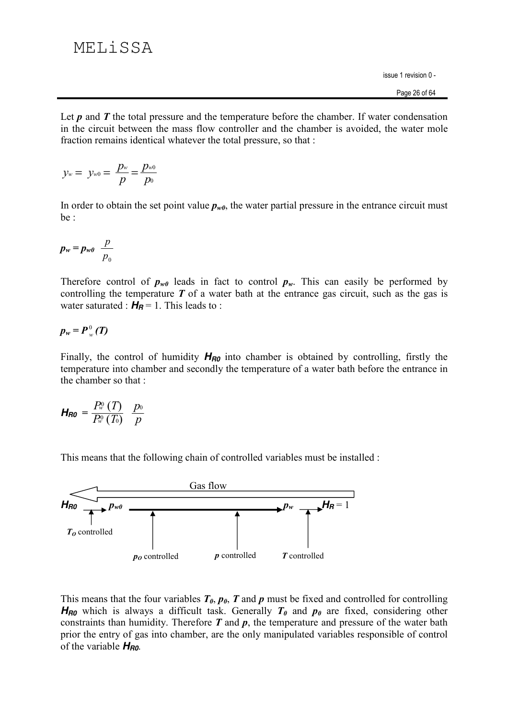Let  $p$  and  $T$  the total pressure and the temperature before the chamber. If water condensation in the circuit between the mass flow controller and the chamber is avoided, the water mole fraction remains identical whatever the total pressure, so that :

$$
y_w = y_{w0} = \frac{p_w}{p} = \frac{p_{w0}}{p_0}
$$

In order to obtain the set point value  $p_{w0}$ , the water partial pressure in the entrance circuit must be :

$$
p_w = p_{w0} \frac{p}{p_0}
$$

Therefore control of  $p_{w0}$  leads in fact to control  $p_w$ . This can easily be performed by controlling the temperature  $T$  of a water bath at the entrance gas circuit, such as the gas is water saturated :  $H_B = 1$ . This leads to :

$$
p_w = P_w^0(T)
$$

Finally, the control of humidity  $H_{R0}$  into chamber is obtained by controlling, firstly the temperature into chamber and secondly the temperature of a water bath before the entrance in the chamber so that:

$$
H_{R0} = \frac{P_w^0(T)}{P_w^0(T_0)} \frac{p_0}{p}
$$

This means that the following chain of controlled variables must be installed :



This means that the four variables  $T_{\theta}$ ,  $p_{\theta}$ , T and p must be fixed and controlled for controlling  $H_{R0}$  which is always a difficult task. Generally  $T_{\theta}$  and  $p_{\theta}$  are fixed, considering other constraints than humidity. Therefore  $T$  and  $p$ , the temperature and pressure of the water bath prior the entry of gas into chamber, are the only manipulated variables responsible of control of the variable  $H_{R0}$ .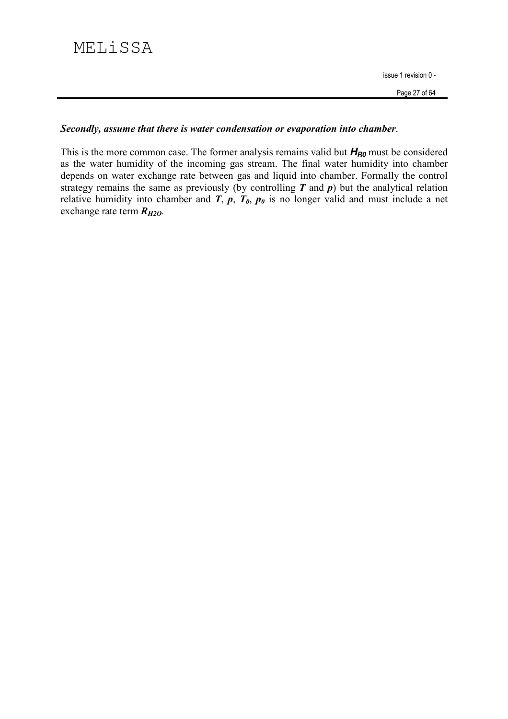# MELiSSA

issue 1 revision 0 -

## Secondly, assume that there is water condensation or evaporation into chamber.

This is the more common case. The former analysis remains valid but  $H_{R0}$  must be considered as the water humidity of the incoming gas stream. The final water humidity into chamber depends on water exchange rate between gas and liquid into chamber. Formally the control strategy remains the same as previously (by controlling  $T$  and  $p$ ) but the analytical relation relative humidity into chamber and  $\overrightarrow{T}$ ,  $\overrightarrow{p}$ ,  $\overrightarrow{T}_{0}$ ,  $p_{0}$  is no longer valid and must include a net exchange rate term  $R_{H2O}$ .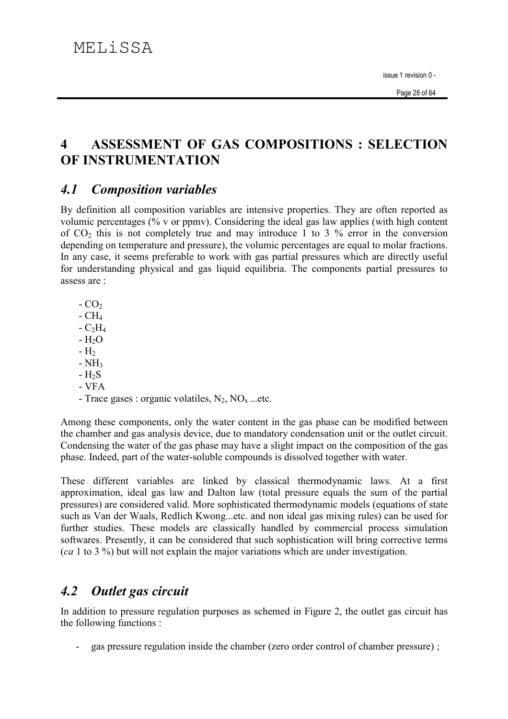### $\boldsymbol{\Lambda}$ **ASSESSMENT OF GAS COMPOSITIONS: SELECTION** OF INSTRUMENTATION

#### $4.1$ **Composition variables**

By definition all composition variables are intensive properties. They are often reported as volumic percentages (% v or ppmy). Considering the ideal gas law applies (with high content of  $CO<sub>2</sub>$  this is not completely true and may introduce 1 to 3 % error in the conversion depending on temperature and pressure), the volumic percentages are equal to molar fractions. In any case, it seems preferable to work with gas partial pressures which are directly useful for understanding physical and gas liquid equilibria. The components partial pressures to assess are :

- $-CO<sub>2</sub>$
- $-CH<sub>4</sub>$
- $-C<sub>2</sub>H<sub>4</sub>$
- $-H<sub>2</sub>O$
- $-H<sub>2</sub>$
- $-NH<sub>3</sub>$
- $-H<sub>2</sub>S$
- $**VFA**$

- Trace gases : organic volatiles,  $N_2$ ,  $NO_x$  ...etc.

Among these components, only the water content in the gas phase can be modified between the chamber and gas analysis device, due to mandatory condensation unit or the outlet circuit. Condensing the water of the gas phase may have a slight impact on the composition of the gas phase. Indeed, part of the water-soluble compounds is dissolved together with water.

These different variables are linked by classical thermodynamic laws. At a first approximation, ideal gas law and Dalton law (total pressure equals the sum of the partial pressures) are considered valid. More sophisticated thermodynamic models (equations of state such as Van der Waals, Redlich Kwong...etc. and non ideal gas mixing rules) can be used for further studies. These models are classically handled by commercial process simulation softwares. Presently, it can be considered that such sophistication will bring corrective terms  $(ca 1 to 3 %$ ) but will not explain the major variations which are under investigation.

#### Outlet gas circuit  $4.2$

In addition to pressure regulation purposes as schemed in Figure 2, the outlet gas circuit has the following functions :

gas pressure regulation inside the chamber (zero order control of chamber pressure);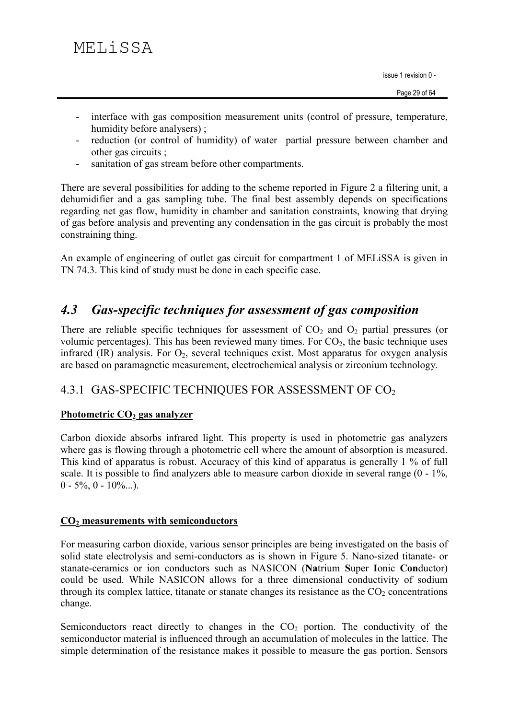- interface with gas composition measurement units (control of pressure, temperature, humidity before analysers):
- reduction (or control of humidity) of water partial pressure between chamber and other gas circuits ;
- sanitation of gas stream before other compartments.  $\omega_{\rm{eff}}$

There are several possibilities for adding to the scheme reported in Figure 2 a filtering unit, a dehumidifier and a gas sampling tube. The final best assembly depends on specifications regarding net gas flow, humidity in chamber and sanitation constraints, knowing that drying of gas before analysis and preventing any condensation in the gas circuit is probably the most constraining thing.

An example of engineering of outlet gas circuit for compartment 1 of MELISSA is given in TN 74.3. This kind of study must be done in each specific case.

#### **Gas-specific techniques for assessment of gas composition**  $4.3$

There are reliable specific techniques for assessment of  $CO<sub>2</sub>$  and  $O<sub>2</sub>$  partial pressures (or volumic percentages). This has been reviewed many times. For  $CO<sub>2</sub>$ , the basic technique uses infrared (IR) analysis. For  $O_2$ , several techniques exist. Most apparatus for oxygen analysis are based on paramagnetic measurement, electrochemical analysis or zirconium technology.

## 4.3.1 GAS-SPECIFIC TECHNIQUES FOR ASSESSMENT OF CO<sub>2</sub>

## Photometric  $CO<sub>2</sub>$  gas analyzer

Carbon dioxide absorbs infrared light. This property is used in photometric gas analyzers where gas is flowing through a photometric cell where the amount of absorption is measured. This kind of apparatus is robust. Accuracy of this kind of apparatus is generally 1 % of full scale. It is possible to find analyzers able to measure carbon dioxide in several range  $(0 - 1\%$ ,  $0 - 5\%, 0 - 10\%...$ ).

## $CO<sub>2</sub>$  measurements with semiconductors

For measuring carbon dioxide, various sensor principles are being investigated on the basis of solid state electrolysis and semi-conductors as is shown in Figure 5. Nano-sized titanate- or stanate-ceramics or ion conductors such as NASICON (Natrium Super Ionic Conductor) could be used. While NASICON allows for a three dimensional conductivity of sodium through its complex lattice, titanate or stanate changes its resistance as the  $CO<sub>2</sub>$  concentrations change.

Semiconductors react directly to changes in the  $CO<sub>2</sub>$  portion. The conductivity of the semiconductor material is influenced through an accumulation of molecules in the lattice. The simple determination of the resistance makes it possible to measure the gas portion. Sensors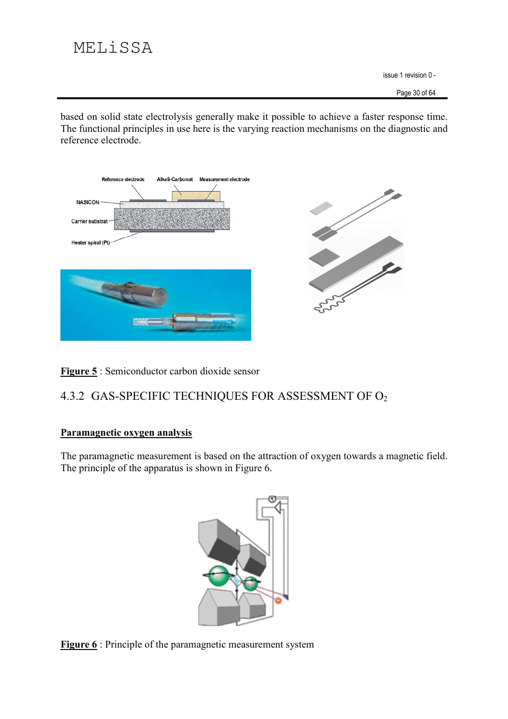based on solid state electrolysis generally make it possible to achieve a faster response time. The functional principles in use here is the varying reaction mechanisms on the diagnostic and reference electrode.



Figure 5 : Semiconductor carbon dioxide sensor

## 4.3.2 GAS-SPECIFIC TECHNIQUES FOR ASSESSMENT OF O2

## Paramagnetic oxygen analysis

The paramagnetic measurement is based on the attraction of oxygen towards a magnetic field. The principle of the apparatus is shown in Figure 6.



**Figure 6** : Principle of the paramagnetic measurement system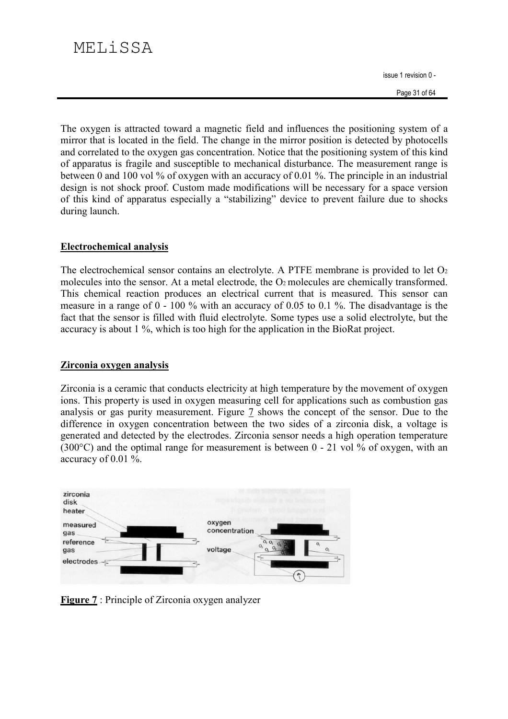Page 31 of 64

The oxygen is attracted toward a magnetic field and influences the positioning system of a mirror that is located in the field. The change in the mirror position is detected by photocells and correlated to the oxygen gas concentration. Notice that the positioning system of this kind of apparatus is fragile and susceptible to mechanical disturbance. The measurement range is between 0 and 100 vol % of oxygen with an accuracy of 0.01 %. The principle in an industrial design is not shock proof. Custom made modifications will be necessary for a space version of this kind of apparatus especially a "stabilizing" device to prevent failure due to shocks during launch.

## **Electrochemical analysis**

The electrochemical sensor contains an electrolyte. A PTFE membrane is provided to let  $O<sub>2</sub>$ molecules into the sensor. At a metal electrode, the O<sub>2</sub> molecules are chemically transformed. This chemical reaction produces an electrical current that is measured. This sensor can measure in a range of  $0 - 100$  % with an accuracy of 0.05 to 0.1 %. The disadvantage is the fact that the sensor is filled with fluid electrolyte. Some types use a solid electrolyte, but the accuracy is about 1 %, which is too high for the application in the BioRat project.

### Zirconia oxygen analysis

Zirconia is a ceramic that conducts electricity at high temperature by the movement of oxygen ions. This property is used in oxygen measuring cell for applications such as combustion gas analysis or gas purity measurement. Figure 7 shows the concept of the sensor. Due to the difference in oxygen concentration between the two sides of a zirconia disk, a voltage is generated and detected by the electrodes. Zirconia sensor needs a high operation temperature (300 $^{\circ}$ C) and the optimal range for measurement is between 0 - 21 vol % of oxygen, with an accuracy of 0.01 %.



**Figure 7**: Principle of Zirconia oxygen analyzer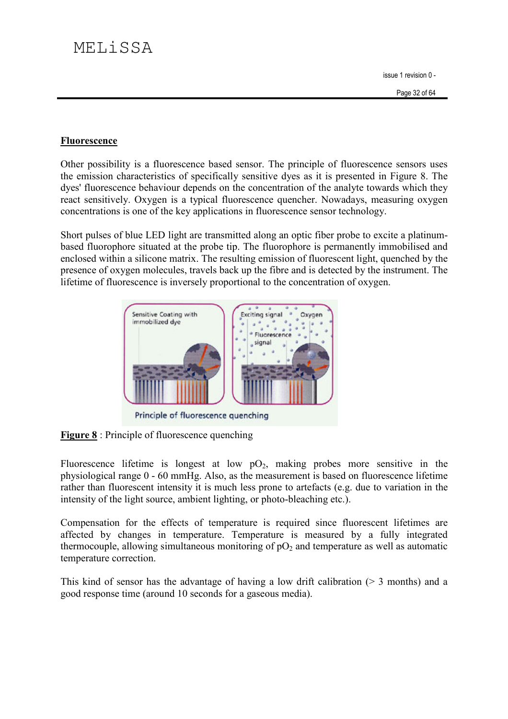## Fluorescence

Other possibility is a fluorescence based sensor. The principle of fluorescence sensors uses the emission characteristics of specifically sensitive dyes as it is presented in Figure 8. The dyes' fluorescence behaviour depends on the concentration of the analyte towards which they react sensitively. Oxygen is a typical fluorescence quencher. Nowadays, measuring oxygen concentrations is one of the key applications in fluorescence sensor technology.

Short pulses of blue LED light are transmitted along an optic fiber probe to excite a platinumbased fluorophore situated at the probe tip. The fluorophore is permanently immobilised and enclosed within a silicone matrix. The resulting emission of fluorescent light, quenched by the presence of oxygen molecules, travels back up the fibre and is detected by the instrument. The lifetime of fluorescence is inversely proportional to the concentration of oxygen.



Principle of fluorescence quenching

**Figure 8** : Principle of fluorescence quenching

Fluorescence lifetime is longest at low  $pO_2$ , making probes more sensitive in the physiological range 0 - 60 mmHg. Also, as the measurement is based on fluorescence lifetime rather than fluorescent intensity it is much less prone to artefacts (e.g. due to variation in the intensity of the light source, ambient lighting, or photo-bleaching etc.).

Compensation for the effects of temperature is required since fluorescent lifetimes are affected by changes in temperature. Temperature is measured by a fully integrated thermocouple, allowing simultaneous monitoring of  $pO<sub>2</sub>$  and temperature as well as automatic temperature correction.

This kind of sensor has the advantage of having a low drift calibration ( $>$  3 months) and a good response time (around 10 seconds for a gaseous media).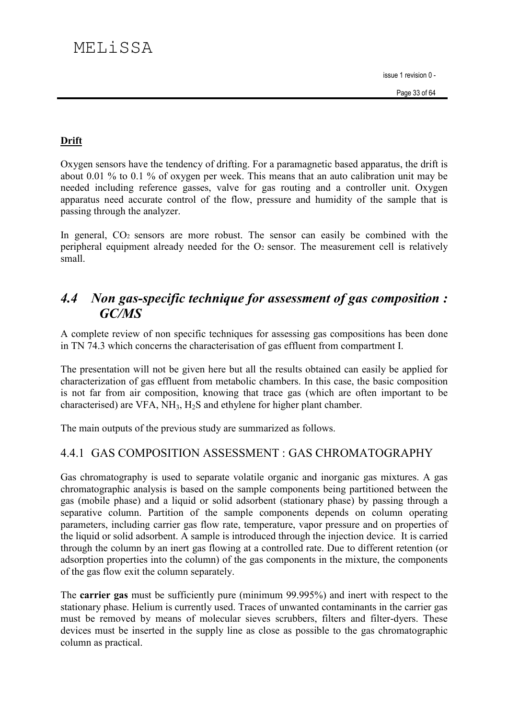## **Drift**

Oxygen sensors have the tendency of drifting. For a paramagnetic based apparatus, the drift is about 0.01 % to 0.1 % of oxygen per week. This means that an auto calibration unit may be needed including reference gasses, valve for gas routing and a controller unit. Oxygen apparatus need accurate control of the flow, pressure and humidity of the sample that is passing through the analyzer.

In general, CO<sub>2</sub> sensors are more robust. The sensor can easily be combined with the peripheral equipment already needed for the O<sub>2</sub> sensor. The measurement cell is relatively small

### Non gas-specific technique for assessment of gas composition:  $4.4$  $GCMS$

A complete review of non specific techniques for assessing gas compositions has been done in TN 74.3 which concerns the characterisation of gas effluent from compartment I.

The presentation will not be given here but all the results obtained can easily be applied for characterization of gas effluent from metabolic chambers. In this case, the basic composition is not far from air composition, knowing that trace gas (which are often important to be characterised) are VFA,  $NH_3$ ,  $H_2S$  and ethylene for higher plant chamber.

The main outputs of the previous study are summarized as follows.

## 4.4.1 GAS COMPOSITION ASSESSMENT : GAS CHROMATOGRAPHY

Gas chromatography is used to separate volatile organic and inorganic gas mixtures. A gas chromatographic analysis is based on the sample components being partitioned between the gas (mobile phase) and a liquid or solid adsorbent (stationary phase) by passing through a separative column. Partition of the sample components depends on column operating parameters, including carrier gas flow rate, temperature, vapor pressure and on properties of the liquid or solid adsorbent. A sample is introduced through the injection device. It is carried through the column by an inert gas flowing at a controlled rate. Due to different retention (or adsorption properties into the column) of the gas components in the mixture, the components of the gas flow exit the column separately.

The carrier gas must be sufficiently pure (minimum 99.995%) and inert with respect to the stationary phase. Helium is currently used. Traces of unwanted contaminants in the carrier gas must be removed by means of molecular sieves scrubbers, filters and filter-dyers. These devices must be inserted in the supply line as close as possible to the gas chromatographic column as practical.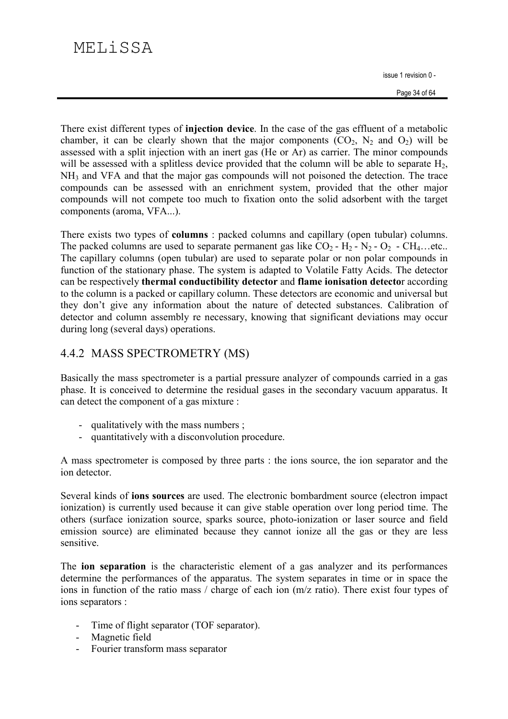There exist different types of **injection device**. In the case of the gas effluent of a metabolic chamber, it can be clearly shown that the major components  $(CO_2, N_2$  and  $O_2)$  will be assessed with a split injection with an inert gas (He or Ar) as carrier. The minor compounds will be assessed with a splitless device provided that the column will be able to separate  $H_2$ , NH<sub>3</sub> and VFA and that the major gas compounds will not poisoned the detection. The trace compounds can be assessed with an enrichment system, provided that the other major compounds will not compete too much to fixation onto the solid adsorbent with the target components (aroma, VFA...).

There exists two types of **columns**: packed columns and capillary (open tubular) columns. The packed columns are used to separate permanent gas like  $CO_2 - H_2 - N_2 - O_2 - CH_4$ ...etc.. The capillary columns (open tubular) are used to separate polar or non polar compounds in function of the stationary phase. The system is adapted to Volatile Fatty Acids. The detector can be respectively thermal conductibility detector and flame ionisation detector according to the column is a packed or capillary column. These detectors are economic and universal but they don't give any information about the nature of detected substances. Calibration of detector and column assembly re necessary, knowing that significant deviations may occur during long (several days) operations.

## 4.4.2 MASS SPECTROMETRY (MS)

Basically the mass spectrometer is a partial pressure analyzer of compounds carried in a gas phase. It is conceived to determine the residual gases in the secondary vacuum apparatus. It can detect the component of a gas mixture :

- qualitatively with the mass numbers;
- quantitatively with a disconvolution procedure.

A mass spectrometer is composed by three parts : the ions source, the ion separator and the ion detector.

Several kinds of **ions sources** are used. The electronic bombardment source (electron impact) ionization) is currently used because it can give stable operation over long period time. The others (surface ionization source, sparks source, photo-ionization or laser source and field emission source) are eliminated because they cannot ionize all the gas or they are less sensitive

The **ion separation** is the characteristic element of a gas analyzer and its performances determine the performances of the apparatus. The system separates in time or in space the ions in function of the ratio mass / charge of each ion (m/z ratio). There exist four types of ions separators :

- Time of flight separator (TOF separator).
- Magnetic field
- Fourier transform mass separator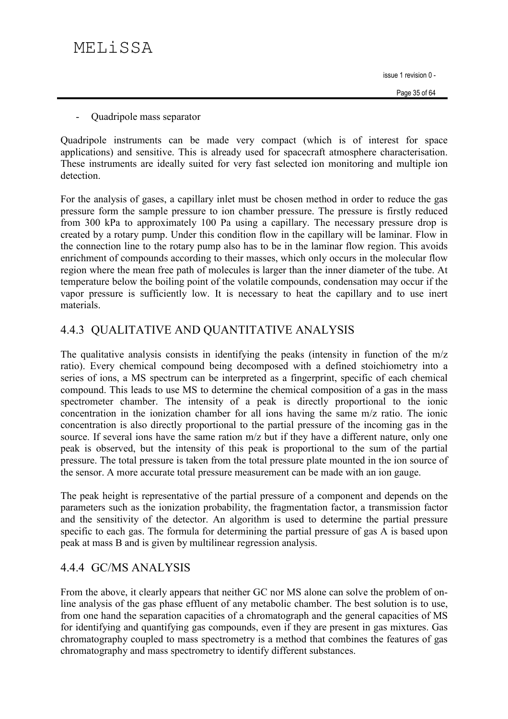Quadripole mass separator  $\blacksquare$ 

Quadripole instruments can be made very compact (which is of interest for space applications) and sensitive. This is already used for spacecraft atmosphere characterisation. These instruments are ideally suited for very fast selected ion monitoring and multiple ion detection

For the analysis of gases, a capillary inlet must be chosen method in order to reduce the gas pressure form the sample pressure to ion chamber pressure. The pressure is firstly reduced from 300 kPa to approximately 100 Pa using a capillary. The necessary pressure drop is created by a rotary pump. Under this condition flow in the capillary will be laminar. Flow in the connection line to the rotary pump also has to be in the laminar flow region. This avoids enrichment of compounds according to their masses, which only occurs in the molecular flow region where the mean free path of molecules is larger than the inner diameter of the tube. At temperature below the boiling point of the volatile compounds, condensation may occur if the vapor pressure is sufficiently low. It is necessary to heat the capillary and to use inert materials

## 4.4.3 QUALITATIVE AND QUANTITATIVE ANALYSIS

The qualitative analysis consists in identifying the peaks (intensity in function of the  $m/z$ ratio). Every chemical compound being decomposed with a defined stoichiometry into a series of ions, a MS spectrum can be interpreted as a fingerprint, specific of each chemical compound. This leads to use MS to determine the chemical composition of a gas in the mass spectrometer chamber. The intensity of a peak is directly proportional to the ionic concentration in the ionization chamber for all ions having the same m/z ratio. The ionic concentration is also directly proportional to the partial pressure of the incoming gas in the source. If several ions have the same ration m/z but if they have a different nature, only one peak is observed, but the intensity of this peak is proportional to the sum of the partial pressure. The total pressure is taken from the total pressure plate mounted in the ion source of the sensor. A more accurate total pressure measurement can be made with an ion gauge.

The peak height is representative of the partial pressure of a component and depends on the parameters such as the ionization probability, the fragmentation factor, a transmission factor and the sensitivity of the detector. An algorithm is used to determine the partial pressure specific to each gas. The formula for determining the partial pressure of gas A is based upon peak at mass B and is given by multilinear regression analysis.

## 4.4.4 GC/MS ANALYSIS

From the above, it clearly appears that neither GC nor MS alone can solve the problem of online analysis of the gas phase effluent of any metabolic chamber. The best solution is to use. from one hand the separation capacities of a chromatograph and the general capacities of MS for identifying and quantifying gas compounds, even if they are present in gas mixtures. Gas chromatography coupled to mass spectrometry is a method that combines the features of gas chromatography and mass spectrometry to identify different substances.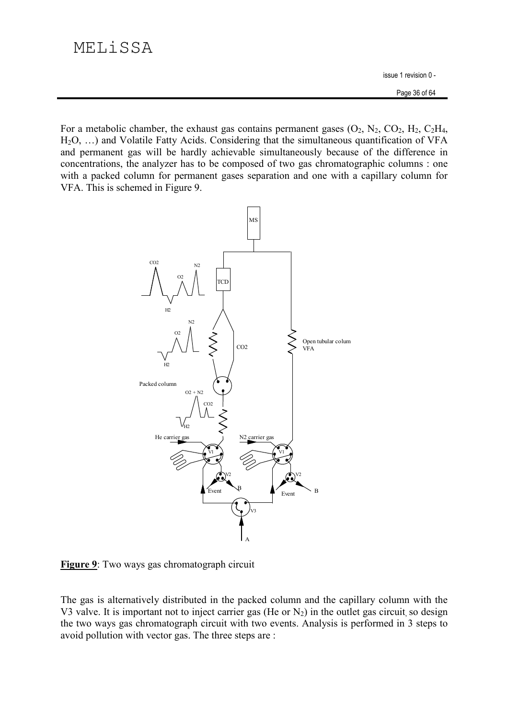For a metabolic chamber, the exhaust gas contains permanent gases  $(O_2, N_2, CO_2, H_2, C_2H_4,$  $H_2O$ , ...) and Volatile Fatty Acids. Considering that the simultaneous quantification of VFA and permanent gas will be hardly achievable simultaneously because of the difference in concentrations, the analyzer has to be composed of two gas chromatographic columns: one with a packed column for permanent gases separation and one with a capillary column for VFA. This is schemed in Figure 9.



Figure 9: Two ways gas chromatograph circuit

The gas is alternatively distributed in the packed column and the capillary column with the V3 valve. It is important not to inject carrier gas (He or  $N_2$ ) in the outlet gas circuit so design the two ways gas chromatograph circuit with two events. Analysis is performed in 3 steps to avoid pollution with vector gas. The three steps are: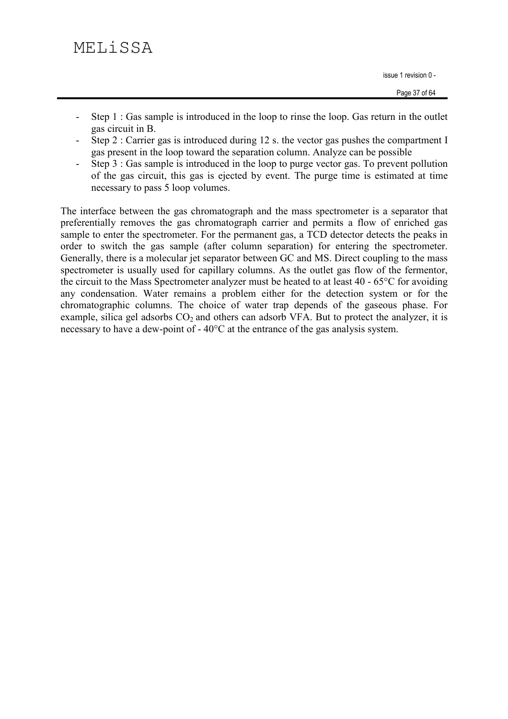# MELiSSA

issue 1 revision 0 -

- Step 1 : Gas sample is introduced in the loop to rinse the loop. Gas return in the outlet  $\omega_{\rm{max}}$ gas circuit in B.
- Step 2 : Carrier gas is introduced during 12 s. the vector gas pushes the compartment I gas present in the loop toward the separation column. Analyze can be possible
- Step  $3:$  Gas sample is introduced in the loop to purge vector gas. To prevent pollution  $\omega_{\rm{eff}}$ of the gas circuit, this gas is ejected by event. The purge time is estimated at time necessary to pass 5 loop volumes.

The interface between the gas chromatograph and the mass spectrometer is a separator that preferentially removes the gas chromatograph carrier and permits a flow of enriched gas sample to enter the spectrometer. For the permanent gas, a TCD detector detects the peaks in order to switch the gas sample (after column separation) for entering the spectrometer. Generally, there is a molecular jet separator between GC and MS. Direct coupling to the mass spectrometer is usually used for capillary columns. As the outlet gas flow of the fermentor, the circuit to the Mass Spectrometer analyzer must be heated to at least 40 - 65<sup>o</sup>C for avoiding any condensation. Water remains a problem either for the detection system or for the chromatographic columns. The choice of water trap depends of the gaseous phase. For example, silica gel adsorbs  $CO<sub>2</sub>$  and others can adsorb VFA. But to protect the analyzer, it is necessary to have a dew-point of - 40°C at the entrance of the gas analysis system.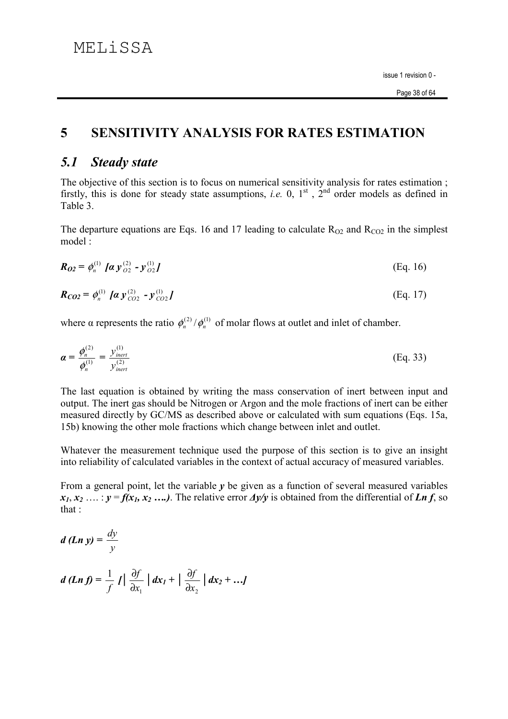#### $\overline{\mathbf{5}}$ **SENSITIVITY ANALYSIS FOR RATES ESTIMATION**

#### **Steady state**  $5.1$

The objective of this section is to focus on numerical sensitivity analysis for rates estimation; firstly, this is done for steady state assumptions, *i.e.* 0,  $1<sup>st</sup>$ ,  $2<sup>nd</sup>$  order models as defined in Table 3.

The departure equations are Eqs. 16 and 17 leading to calculate  $R_{O2}$  and  $R_{CO2}$  in the simplest model:

$$
\boldsymbol{R}_{02} = \phi_n^{(1)} \; [\boldsymbol{a} \; \boldsymbol{y}_{02}^{(2)} - \boldsymbol{y}_{02}^{(1)}] \tag{Eq. 16}
$$

$$
\mathbf{R}_{CO2} = \phi_n^{(1)} \left[ \mathbf{a} \, \mathbf{y}_{CO2}^{(2)} - \mathbf{y}_{CO2}^{(1)} \right] \tag{Eq. 17}
$$

where  $\alpha$  represents the ratio  $\phi_n^{(2)}/\phi_n^{(1)}$  of molar flows at outlet and inlet of chamber.

$$
\boldsymbol{\alpha} = \frac{\phi_n^{(2)}}{\phi_n^{(1)}} = \frac{y_{\text{inert}}^{(1)}}{y_{\text{inert}}^{(2)}} \tag{Eq. 33}
$$

The last equation is obtained by writing the mass conservation of inert between input and output. The inert gas should be Nitrogen or Argon and the mole fractions of inert can be either measured directly by GC/MS as described above or calculated with sum equations (Eqs. 15a, 15b) knowing the other mole fractions which change between inlet and outlet.

Whatever the measurement technique used the purpose of this section is to give an insight into reliability of calculated variables in the context of actual accuracy of measured variables.

From a general point, let the variable  $y$  be given as a function of several measured variables  $x_1, x_2, \ldots : y = f(x_1, x_2, \ldots)$ . The relative error  $\Delta y/y$  is obtained from the differential of Ln f, so that :

$$
d (Ln y) = \frac{dy}{y}
$$
  

$$
d (Ln f) = \frac{1}{f} | \frac{\partial f}{\partial x_1} | dx_1 + | \frac{\partial f}{\partial x_2} | dx_2 + ...
$$

 $\mathbf{r}$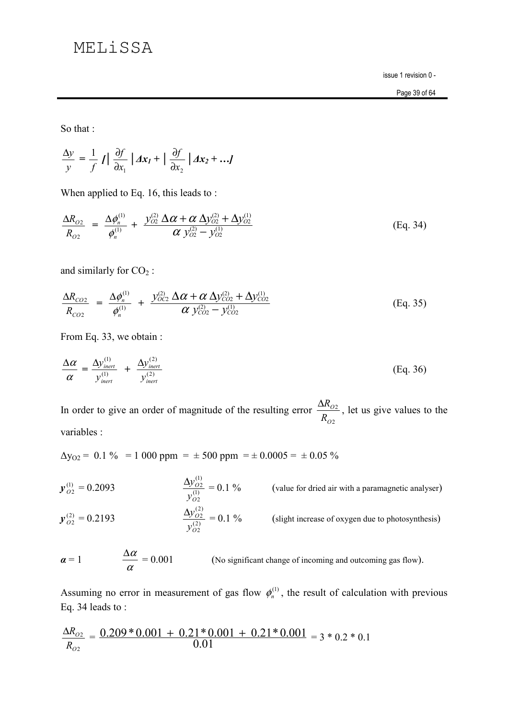# MELiSSA

issue 1 revision 0 -

So that :

$$
\frac{\Delta y}{y} = \frac{1}{f} | \int \left| \frac{\partial f}{\partial x_1} \right| dx_1 + \left| \frac{\partial f}{\partial x_2} \right| dx_2 + \ldots
$$

When applied to Eq. 16, this leads to:

$$
\frac{\Delta R_{O2}}{R_{O2}} = \frac{\Delta \phi_n^{(1)}}{\phi_n^{(1)}} + \frac{y_{O2}^{(2)} \Delta \alpha + \alpha \Delta y_{O2}^{(2)} + \Delta y_{O2}^{(1)}}{\alpha y_{O2}^{(2)} - y_{O2}^{(1)}}
$$
(Eq. 34)

and similarly for  $CO<sub>2</sub>$ :

$$
\frac{\Delta R_{CO2}}{R_{CO2}} = \frac{\Delta \phi_n^{(1)}}{\phi_n^{(1)}} + \frac{y_{OC2}^{(2)} \Delta \alpha + \alpha \Delta y_{CO2}^{(2)} + \Delta y_{CO2}^{(1)}}{\alpha y_{CO2}^{(2)} - y_{CO2}^{(1)}}
$$
(Eq. 35)

From Eq. 33, we obtain:

$$
\frac{\Delta \alpha}{\alpha} = \frac{\Delta y_{\text{inert}}^{(1)}}{y_{\text{inert}}^{(1)}} + \frac{\Delta y_{\text{inert}}^{(2)}}{y_{\text{inert}}^{(2)}}
$$
(Eq. 36)

In order to give an order of magnitude of the resulting error  $\frac{\Delta R_{O2}}{R_{O2}}$ , let us give values to the

variables :

 $\Delta y_{O2}$  = 0.1 % = 1 000 ppm =  $\pm$  500 ppm =  $\pm$  0.0005 =  $\pm$  0.05 %

 $\frac{\Delta y_{O2}^{(1)}}{y_{O2}^{(1)}} = 0.1 \%$  (value for dried air with a paramagnetic analyser)  $y_{O2}^{(1)} = 0.2093$  $\frac{\Delta y_{O2}^{(2)}}{v_{O2}^{(2)}} = 0.1 \%$  (slight increase of oxygen due to photosynthesis)  $y_{O2}^{(2)} = 0.2193$ 

$$
\alpha = 1
$$
\n
$$
\frac{\Delta \alpha}{\alpha} = 0.001
$$
\n(No significant change of incoming and outcoming gas flow).

Assuming no error in measurement of gas flow  $\phi_n^{(1)}$ , the result of calculation with previous Eq. 34 leads to:

$$
\frac{\Delta R_{O2}}{R_{O2}} = \frac{0.209 * 0.001 + 0.21 * 0.001 + 0.21 * 0.001}{0.01} = 3 * 0.2 * 0.1
$$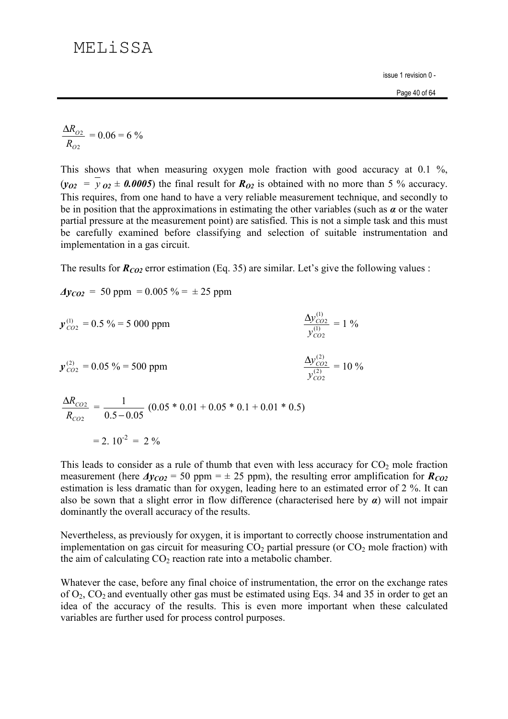$$
\frac{\Delta R_{O2}}{R_{O2}} = 0.06 = 6\%
$$

This shows that when measuring oxygen mole fraction with good accuracy at  $0.1\%$ ,  $(v_{02} = v_{02} \pm 0.0005)$  the final result for  $R_{02}$  is obtained with no more than 5 % accuracy. This requires, from one hand to have a very reliable measurement technique, and secondly to be in position that the approximations in estimating the other variables (such as  $\alpha$  or the water partial pressure at the measurement point) are satisfied. This is not a simple task and this must be carefully examined before classifying and selection of suitable instrumentation and implementation in a gas circuit.

The results for  $R_{CO2}$  error estimation (Eq. 35) are similar. Let's give the following values:

$$
Ayco_2 = 50 \text{ ppm} = 0.005 \% = \pm 25 \text{ ppm}
$$

$$
y_{CO2}^{(1)} = 0.5\% = 5000 \text{ ppm}
$$
  
\n $y_{CO2}^{(2)} = 0.05\% = 500 \text{ ppm}$   
\n $\frac{\Delta y_{CO2}^{(1)}}{y_{CO2}^{(2)}} = 1\%$   
\n $\frac{\Delta y_{CO2}^{(2)}}{y_{CO2}^{(2)}} = 10\%$ 

$$
\frac{\Delta R_{CO2}}{R_{CO2}} = \frac{1}{0.5 - 0.05} (0.05 * 0.01 + 0.05 * 0.1 + 0.01 * 0.5)
$$

$$
= 2.10^{-2} = 2\%
$$

This leads to consider as a rule of thumb that even with less accuracy for  $CO<sub>2</sub>$  mole fraction measurement (here  $\Delta y_{CO2} = 50$  ppm =  $\pm$  25 ppm), the resulting error amplification for  $R_{CO2}$ estimation is less dramatic than for oxygen, leading here to an estimated error of 2 %. It can also be sown that a slight error in flow difference (characterised here by  $\alpha$ ) will not impair dominantly the overall accuracy of the results.

Nevertheless, as previously for oxygen, it is important to correctly choose instrumentation and implementation on gas circuit for measuring  $CO<sub>2</sub>$  partial pressure (or  $CO<sub>2</sub>$  mole fraction) with the aim of calculating  $CO<sub>2</sub>$  reaction rate into a metabolic chamber.

Whatever the case, before any final choice of instrumentation, the error on the exchange rates of  $O_2$ ,  $CO_2$  and eventually other gas must be estimated using Eqs. 34 and 35 in order to get an idea of the accuracy of the results. This is even more important when these calculated variables are further used for process control purposes.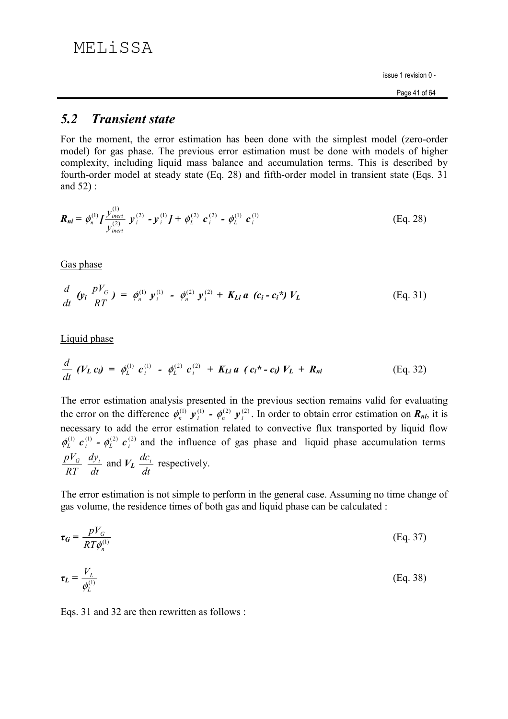# MELiSSA

issue 1 revision 0 -

#### $5.2$ **Transient state**

For the moment, the error estimation has been done with the simplest model (zero-order model) for gas phase. The previous error estimation must be done with models of higher complexity, including liquid mass balance and accumulation terms. This is described by fourth-order model at steady state (Eq. 28) and fifth-order model in transient state (Eqs. 31) and  $52$ :

$$
\boldsymbol{R}_{ni} = \phi_n^{(1)} I \frac{y_{inert}^{(1)}}{y_{inert}^{(2)}} \ \boldsymbol{y}_i^{(2)} - \boldsymbol{y}_i^{(1)} I + \phi_L^{(2)} \ \boldsymbol{c}_i^{(2)} - \phi_L^{(1)} \ \boldsymbol{c}_i^{(1)} \tag{Eq. 28}
$$

Gas phase

$$
\frac{d}{dt} \left( y_i \frac{pV_G}{RT} \right) = \phi_n^{(1)} y_i^{(1)} - \phi_n^{(2)} y_i^{(2)} + K_{Li} a \left( c_i - c_i^* \right) V_L \tag{Eq. 31}
$$

Liquid phase

$$
\frac{d}{dt} (V_L c_i) = \phi_L^{(1)} c_i^{(1)} - \phi_L^{(2)} c_i^{(2)} + K_{Li} a (c_i^* - c_i) V_L + R_{ni}
$$
\n(Eq. 32)

The error estimation analysis presented in the previous section remains valid for evaluating the error on the difference  $\phi_n^{(1)}$   $\mathbf{y}_i^{(1)}$  -  $\phi_n^{(2)}$   $\mathbf{y}_i^{(2)}$ . In order to obtain error estimation on  $\mathbf{R}_{ni}$ , it is necessary to add the error estimation related to convective flux transported by liquid flow  $\phi_L^{(1)}$   $\mathbf{c}_i^{(1)}$  -  $\phi_L^{(2)}$   $\mathbf{c}_i^{(2)}$  and the influence of gas phase and liquid phase accumulation terms  $\frac{pV_G}{RT}$   $\frac{dy_i}{dt}$  and  $V_L$   $\frac{dc_i}{dt}$  respectively.

The error estimation is not simple to perform in the general case. Assuming no time change of gas volume, the residence times of both gas and liquid phase can be calculated :

$$
\tau_G = \frac{pV_G}{RT\phi_n^{(1)}}
$$
 (Eq. 37)

$$
\tau_L = \frac{V_L}{\phi_L^{(1)}}\tag{Eq. 38}
$$

Eqs. 31 and 32 are then rewritten as follows: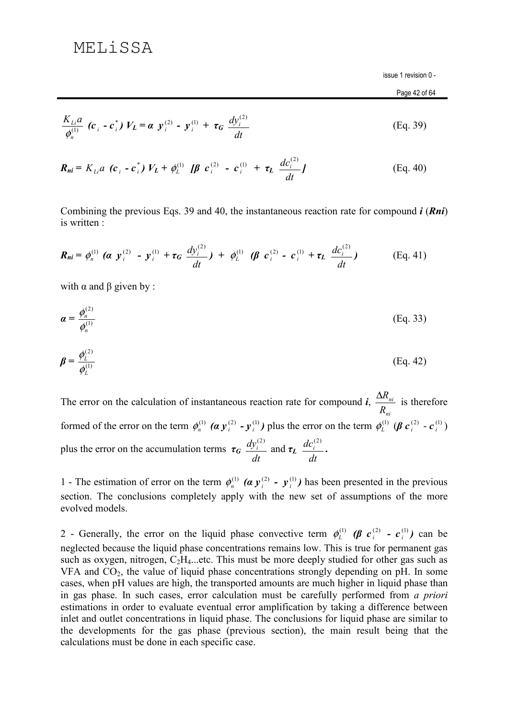Page 42 of 64

$$
\frac{K_{Li}a}{\phi_n^{(1)}} \left( c_i - c_i^* \right) V_L = \alpha \ y_i^{(2)} - y_i^{(1)} + \tau_G \ \frac{d y_i^{(2)}}{dt} \tag{Eq. 39}
$$

$$
\boldsymbol{R}_{ni} = K_{Li} a \, (\boldsymbol{c}_i - \boldsymbol{c}_i^*) \, V_L + \phi_L^{(1)} \, [\boldsymbol{\beta} \, \boldsymbol{c}_i^{(2)} - \boldsymbol{c}_i^{(1)} + \tau_L \, \frac{d c_i^{(2)}}{dt} ] \qquad (Eq. 40)
$$

Combining the previous Eqs. 39 and 40, the instantaneous reaction rate for compound  $\mathbf{i}$  (*Rni*) is written :

$$
\boldsymbol{R_{ni}} = \phi_n^{(1)} \; (\boldsymbol{\alpha} \; \mathbf{y}_i^{(2)} - \mathbf{y}_i^{(1)} + \boldsymbol{\tau_G} \; \frac{d y_i^{(2)}}{dt}) \; + \; \phi_L^{(1)} \; (\boldsymbol{\beta} \; \boldsymbol{c}_i^{(2)} - \boldsymbol{c}_i^{(1)} + \boldsymbol{\tau_L} \; \frac{d c_i^{(2)}}{dt}) \qquad \qquad \text{(Eq. 41)}
$$

with  $\alpha$  and  $\beta$  given by :

$$
\boldsymbol{\alpha} = \frac{\phi_n^{(2)}}{\phi_n^{(1)}}
$$
 (Eq. 33)

$$
\mathbf{\beta} = \frac{\phi_L^{(2)}}{\phi_L^{(1)}}
$$
 (Eq. 42)

The error on the calculation of instantaneous reaction rate for compound  $\vec{i}$ ,  $\frac{\Delta R_{ni}}{R}$  is therefore formed of the error on the term  $\phi_n^{(1)}$  ( $\alpha y_i^{(2)}$  -  $y_i^{(1)}$ ) plus the error on the term  $\phi_L^{(1)}$  ( $\beta c_i^{(2)}$  -  $c_i^{(1)}$ ) plus the error on the accumulation terms  $\tau_G \frac{dy_i^{(2)}}{dt}$  and  $\tau_L \frac{dc_i^{(2)}}{dt}$ .

1 - The estimation of error on the term  $\phi_n^{(1)}$  ( $\alpha y_i^{(2)}$  -  $y_i^{(1)}$ ) has been presented in the previous section. The conclusions completely apply with the new set of assumptions of the more evolved models.

2 - Generally, the error on the liquid phase convective term  $\phi_L^{(1)}$  ( $\beta$   $c_i^{(2)}$  -  $c_i^{(1)}$ ) can be neglected because the liquid phase concentrations remains low. This is true for permanent gas such as oxygen, nitrogen,  $C_2H_4$ ...etc. This must be more deeply studied for other gas such as VFA and  $CO<sub>2</sub>$ , the value of liquid phase concentrations strongly depending on pH. In some cases, when pH values are high, the transported amounts are much higher in liquid phase than in gas phase. In such cases, error calculation must be carefully performed from a priori estimations in order to evaluate eventual error amplification by taking a difference between inlet and outlet concentrations in liquid phase. The conclusions for liquid phase are similar to the developments for the gas phase (previous section), the main result being that the calculations must be done in each specific case.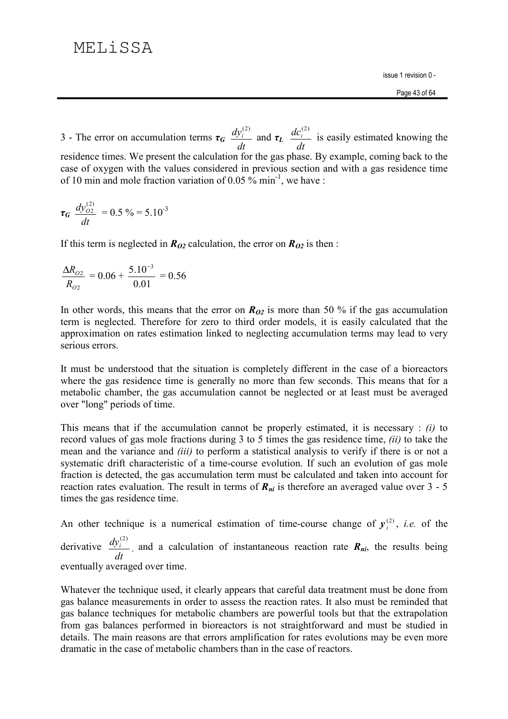3 - The error on accumulation terms  $\tau_G \frac{dy_i^{(2)}}{dt}$  and  $\tau_L \frac{dc_i^{(2)}}{dt}$  is easily estimated knowing the residence times. We present the calculation for the gas phase. By example, coming back to the case of oxygen with the values considered in previous section and with a gas residence time of 10 min and mole fraction variation of 0.05  $\frac{6}{9}$  min<sup>-1</sup>, we have:

$$
\tau_G \frac{dy_{O2}^{(2)}}{dt} = 0.5\% = 5.10^{-3}
$$

If this term is neglected in  $R_{02}$  calculation, the error on  $R_{02}$  is then:

$$
\frac{\Delta R_{O2}}{R_{O2}} = 0.06 + \frac{5.10^{-3}}{0.01} = 0.56
$$

In other words, this means that the error on  $R_{02}$  is more than 50 % if the gas accumulation term is neglected. Therefore for zero to third order models, it is easily calculated that the approximation on rates estimation linked to neglecting accumulation terms may lead to very serious errors

It must be understood that the situation is completely different in the case of a bioreactors where the gas residence time is generally no more than few seconds. This means that for a metabolic chamber, the gas accumulation cannot be neglected or at least must be averaged over "long" periods of time.

This means that if the accumulation cannot be properly estimated, it is necessary :  $(i)$  to record values of gas mole fractions during 3 to 5 times the gas residence time, *(ii)* to take the mean and the variance and *(iii)* to perform a statistical analysis to verify if there is or not a systematic drift characteristic of a time-course evolution. If such an evolution of gas mole fraction is detected, the gas accumulation term must be calculated and taken into account for reaction rates evaluation. The result in terms of  $R_{ni}$  is therefore an averaged value over 3 - 5 times the gas residence time.

An other technique is a numerical estimation of time-course change of  $y_i^{(2)}$ , *i.e.* of the

derivative  $\frac{dy_i^{(2)}}{dt}$ , and a calculation of instantaneous reaction rate  $R_{ni}$ , the results being eventually averaged over time.

Whatever the technique used, it clearly appears that careful data treatment must be done from gas balance measurements in order to assess the reaction rates. It also must be reminded that gas balance techniques for metabolic chambers are powerful tools but that the extrapolation from gas balances performed in bioreactors is not straightforward and must be studied in details. The main reasons are that errors amplification for rates evolutions may be even more dramatic in the case of metabolic chambers than in the case of reactors.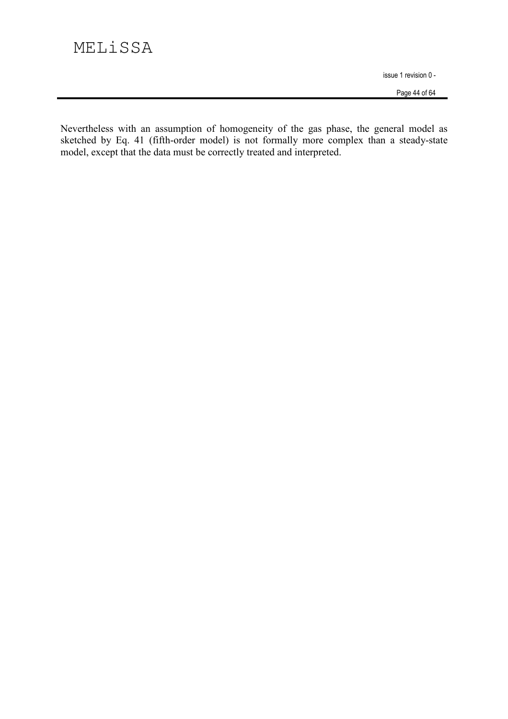Page 44 of 64

Nevertheless with an assumption of homogeneity of the gas phase, the general model as sketched by Eq. 41 (fifth-order model) is not formally more complex than a steady-state model, except that the data must be correctly treated and interpreted.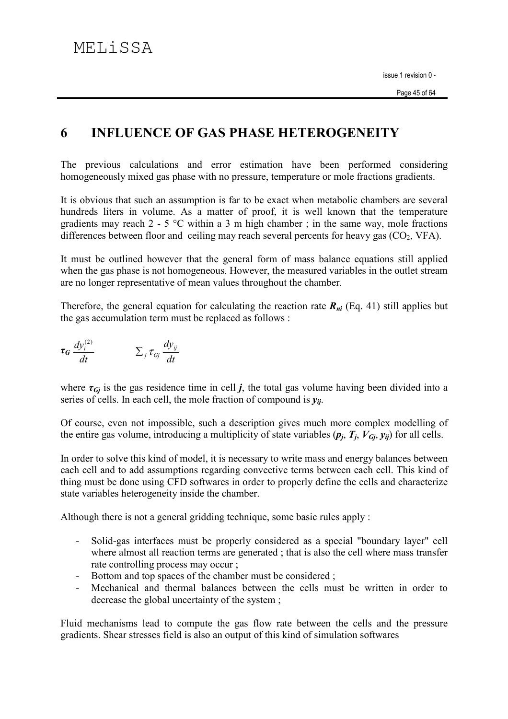#### 6 **INFLUENCE OF GAS PHASE HETEROGENEITY**

The previous calculations and error estimation have been performed considering homogeneously mixed gas phase with no pressure, temperature or mole fractions gradients.

It is obvious that such an assumption is far to be exact when metabolic chambers are several hundreds liters in volume. As a matter of proof, it is well known that the temperature gradients may reach  $2 - 5$  °C within a 3 m high chamber; in the same way, mole fractions differences between floor and ceiling may reach several percents for heavy gas  $(CO_2, VFA)$ .

It must be outlined however that the general form of mass balance equations still applied when the gas phase is not homogeneous. However, the measured variables in the outlet stream are no longer representative of mean values throughout the chamber.

Therefore, the general equation for calculating the reaction rate  $R_{ni}$  (Eq. 41) still applies but the gas accumulation term must be replaced as follows :

$$
\tau_G \frac{dy_i^{(2)}}{dt} \qquad \qquad \Sigma_j \tau_{Gj} \frac{dy_{ij}}{dt}
$$

where  $\tau_{Gj}$  is the gas residence time in cell j, the total gas volume having been divided into a series of cells. In each cell, the mole fraction of compound is  $y_{ii}$ .

Of course, even not impossible, such a description gives much more complex modelling of the entire gas volume, introducing a multiplicity of state variables  $(p_i, T_i, V_{Gi}, y_{ii})$  for all cells.

In order to solve this kind of model, it is necessary to write mass and energy balances between each cell and to add assumptions regarding convective terms between each cell. This kind of thing must be done using CFD softwares in order to properly define the cells and characterize state variables heterogeneity inside the chamber.

Although there is not a general gridding technique, some basic rules apply :

- Solid-gas interfaces must be properly considered as a special "boundary layer" cell  $\mathcal{L}^{\text{max}}$ where almost all reaction terms are generated; that is also the cell where mass transfer rate controlling process may occur;
- Bottom and top spaces of the chamber must be considered ;
- Mechanical and thermal balances between the cells must be written in order to decrease the global uncertainty of the system;

Fluid mechanisms lead to compute the gas flow rate between the cells and the pressure gradients. Shear stresses field is also an output of this kind of simulation softwares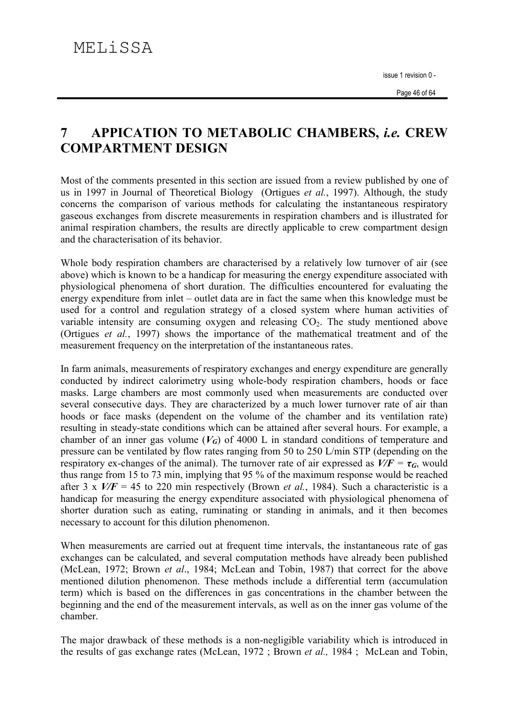### **APPICATION TO METABOLIC CHAMBERS, i.e. CREW**  $\overline{7}$ **COMPARTMENT DESIGN**

Most of the comments presented in this section are issued from a review published by one of us in 1997 in Journal of Theoretical Biology (Ortigues et al., 1997). Although, the study concerns the comparison of various methods for calculating the instantaneous respiratory gaseous exchanges from discrete measurements in respiration chambers and is illustrated for animal respiration chambers, the results are directly applicable to crew compartment design and the characterisation of its behavior.

Whole body respiration chambers are characterised by a relatively low turnover of air (see above) which is known to be a handicap for measuring the energy expenditure associated with physiological phenomena of short duration. The difficulties encountered for evaluating the energy expenditure from inlet – outlet data are in fact the same when this knowledge must be used for a control and regulation strategy of a closed system where human activities of variable intensity are consuming oxygen and releasing  $CO<sub>2</sub>$ . The study mentioned above (Ortigues et al., 1997) shows the importance of the mathematical treatment and of the measurement frequency on the interpretation of the instantaneous rates.

In farm animals, measurements of respiratory exchanges and energy expenditure are generally conducted by indirect calorimetry using whole-body respiration chambers, hoods or face masks. Large chambers are most commonly used when measurements are conducted over several consecutive days. They are characterized by a much lower turnover rate of air than hoods or face masks (dependent on the volume of the chamber and its ventilation rate) resulting in steady-state conditions which can be attained after several hours. For example, a chamber of an inner gas volume  $(V_G)$  of 4000 L in standard conditions of temperature and pressure can be ventilated by flow rates ranging from 50 to 250 L/min STP (depending on the respiratory ex-changes of the animal). The turnover rate of air expressed as  $V/F = \tau_G$ , would thus range from 15 to 73 min, implying that 95 % of the maximum response would be reached after 3 x  $V/F = 45$  to 220 min respectively (Brown *et al.*, 1984). Such a characteristic is a handicap for measuring the energy expenditure associated with physiological phenomena of shorter duration such as eating, ruminating or standing in animals, and it then becomes necessary to account for this dilution phenomenon.

When measurements are carried out at frequent time intervals, the instantaneous rate of gas exchanges can be calculated, and several computation methods have already been published (McLean, 1972; Brown et al., 1984; McLean and Tobin, 1987) that correct for the above mentioned dilution phenomenon. These methods include a differential term (accumulation term) which is based on the differences in gas concentrations in the chamber between the beginning and the end of the measurement intervals, as well as on the inner gas volume of the chamber.

The major drawback of these methods is a non-negligible variability which is introduced in the results of gas exchange rates (McLean, 1972; Brown *et al.*, 1984; McLean and Tobin,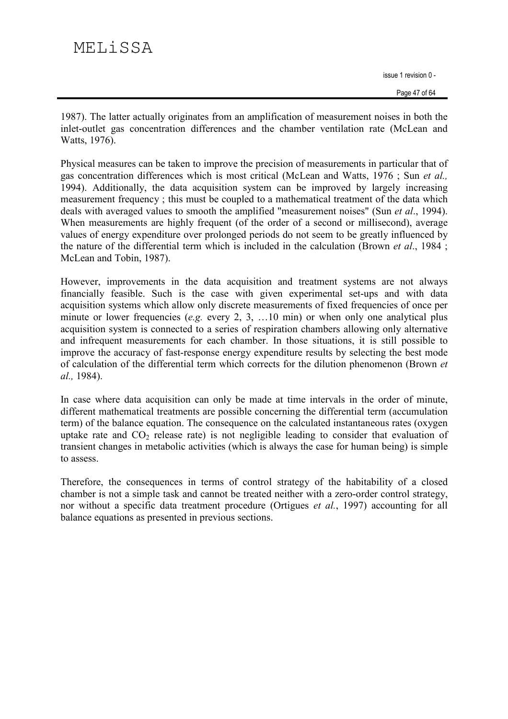Page 47 of 64

1987). The latter actually originates from an amplification of measurement noises in both the inlet-outlet gas concentration differences and the chamber ventilation rate (McLean and Watts, 1976).

Physical measures can be taken to improve the precision of measurements in particular that of gas concentration differences which is most critical (McLean and Watts, 1976; Sun et al., 1994). Additionally, the data acquisition system can be improved by largely increasing measurement frequency; this must be coupled to a mathematical treatment of the data which deals with averaged values to smooth the amplified "measurement noises" (Sun et al., 1994). When measurements are highly frequent (of the order of a second or millisecond), average values of energy expenditure over prolonged periods do not seem to be greatly influenced by the nature of the differential term which is included in the calculation (Brown et al., 1984; McLean and Tobin, 1987).

However, improvements in the data acquisition and treatment systems are not always financially feasible. Such is the case with given experimental set-ups and with data acquisition systems which allow only discrete measurements of fixed frequencies of once per minute or lower frequencies (e.g. every 2, 3, ...10 min) or when only one analytical plus acquisition system is connected to a series of respiration chambers allowing only alternative and infrequent measurements for each chamber. In those situations, it is still possible to improve the accuracy of fast-response energy expenditure results by selecting the best mode of calculation of the differential term which corrects for the dilution phenomenon (Brown et al., 1984).

In case where data acquisition can only be made at time intervals in the order of minute. different mathematical treatments are possible concerning the differential term (accumulation term) of the balance equation. The consequence on the calculated instantaneous rates (oxygen uptake rate and  $CO<sub>2</sub>$  release rate) is not negligible leading to consider that evaluation of transient changes in metabolic activities (which is always the case for human being) is simple to assess.

Therefore, the consequences in terms of control strategy of the habitability of a closed chamber is not a simple task and cannot be treated neither with a zero-order control strategy, nor without a specific data treatment procedure (Ortigues *et al.*, 1997) accounting for all balance equations as presented in previous sections.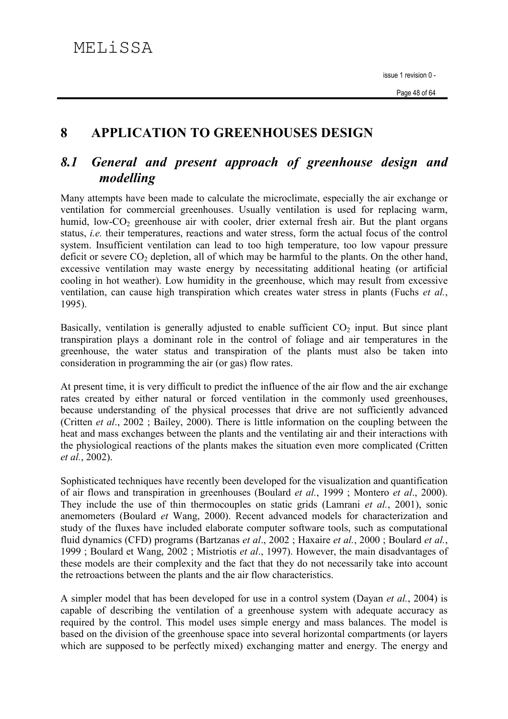#### 8 **APPLICATION TO GREENHOUSES DESIGN**

### General and present approach of greenhouse design and 8.1 modelling

Many attempts have been made to calculate the microclimate, especially the air exchange or ventilation for commercial greenhouses. Usually ventilation is used for replacing warm, humid. low-CO<sub>2</sub> greenhouse air with cooler, drier external fresh air. But the plant organs status, *i.e.* their temperatures, reactions and water stress, form the actual focus of the control system. Insufficient ventilation can lead to too high temperature, too low vapour pressure deficit or severe  $CO_2$  depletion, all of which may be harmful to the plants. On the other hand, excessive ventilation may waste energy by necessitating additional heating (or artificial cooling in hot weather). Low humidity in the greenhouse, which may result from excessive ventilation, can cause high transpiration which creates water stress in plants (Fuchs et al., 1995).

Basically, ventilation is generally adjusted to enable sufficient  $CO<sub>2</sub>$  input. But since plant transpiration plays a dominant role in the control of foliage and air temperatures in the greenhouse, the water status and transpiration of the plants must also be taken into consideration in programming the air (or gas) flow rates.

At present time, it is very difficult to predict the influence of the air flow and the air exchange rates created by either natural or forced ventilation in the commonly used greenhouses, because understanding of the physical processes that drive are not sufficiently advanced (Critten *et al.*, 2002; Bailey, 2000). There is little information on the coupling between the heat and mass exchanges between the plants and the ventilating air and their interactions with the physiological reactions of the plants makes the situation even more complicated (Critten et al., 2002).

Sophisticated techniques have recently been developed for the visualization and quantification of air flows and transpiration in greenhouses (Boulard et al., 1999; Montero et al., 2000). They include the use of thin thermocouples on static grids (Lamrani et al., 2001), sonic anemometers (Boulard et Wang, 2000). Recent advanced models for characterization and study of the fluxes have included elaborate computer software tools, such as computational fluid dynamics (CFD) programs (Bartzanas et al., 2002 : Haxaire et al., 2000 : Boulard et al., 1999; Boulard et Wang, 2002; Mistriotis et al., 1997). However, the main disadvantages of these models are their complexity and the fact that they do not necessarily take into account the retroactions between the plants and the air flow characteristics.

A simpler model that has been developed for use in a control system (Dayan et al., 2004) is capable of describing the ventilation of a greenhouse system with adequate accuracy as required by the control. This model uses simple energy and mass balances. The model is based on the division of the greenhouse space into several horizontal compartments (or layers which are supposed to be perfectly mixed) exchanging matter and energy. The energy and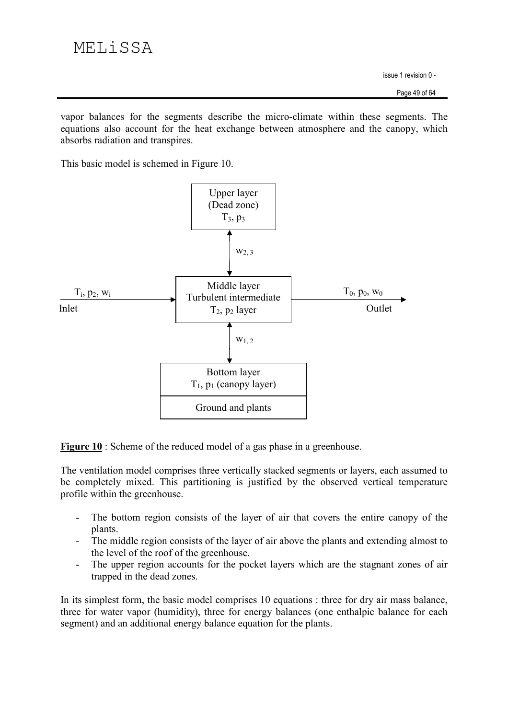vapor balances for the segments describe the micro-climate within these segments. The equations also account for the heat exchange between atmosphere and the canopy, which absorbs radiation and transpires.

This basic model is schemed in Figure 10.



**Figure 10** : Scheme of the reduced model of a gas phase in a greenhouse.

The ventilation model comprises three vertically stacked segments or layers, each assumed to be completely mixed. This partitioning is justified by the observed vertical temperature profile within the greenhouse.

- The bottom region consists of the layer of air that covers the entire canopy of the plants.
- The middle region consists of the layer of air above the plants and extending almost to the level of the roof of the greenhouse.
- The upper region accounts for the pocket layers which are the stagnant zones of air  $\mathbb{L}^{\mathbb{N}}$ trapped in the dead zones.

In its simplest form, the basic model comprises 10 equations : three for dry air mass balance, three for water vapor (humidity), three for energy balances (one enthalpic balance for each segment) and an additional energy balance equation for the plants.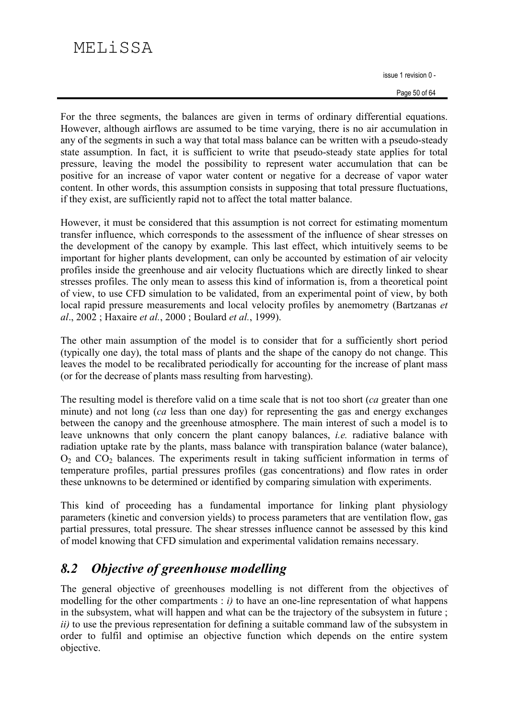# MELiSSA

issue 1 revision 0 -

Page 50 of 64

For the three segments, the balances are given in terms of ordinary differential equations. However, although airflows are assumed to be time varying, there is no air accumulation in any of the segments in such a way that total mass balance can be written with a pseudo-steady state assumption. In fact, it is sufficient to write that pseudo-steady state applies for total pressure, leaving the model the possibility to represent water accumulation that can be positive for an increase of vapor water content or negative for a decrease of vapor water content. In other words, this assumption consists in supposing that total pressure fluctuations, if they exist, are sufficiently rapid not to affect the total matter balance.

However, it must be considered that this assumption is not correct for estimating momentum transfer influence, which corresponds to the assessment of the influence of shear stresses on the development of the canopy by example. This last effect, which intuitively seems to be important for higher plants development, can only be accounted by estimation of air velocity profiles inside the greenhouse and air velocity fluctuations which are directly linked to shear stresses profiles. The only mean to assess this kind of information is, from a theoretical point of view, to use CFD simulation to be validated, from an experimental point of view, by both local rapid pressure measurements and local velocity profiles by anemometry (Bartzanas et al., 2002; Haxaire et al., 2000; Boulard et al., 1999).

The other main assumption of the model is to consider that for a sufficiently short period (typically one day), the total mass of plants and the shape of the canopy do not change. This leaves the model to be recalibrated periodically for accounting for the increase of plant mass (or for the decrease of plants mass resulting from harvesting).

The resulting model is therefore valid on a time scale that is not too short (ca greater than one minute) and not long (ca less than one day) for representing the gas and energy exchanges between the canopy and the greenhouse atmosphere. The main interest of such a model is to leave unknowns that only concern the plant canopy balances, *i.e.* radiative balance with radiation uptake rate by the plants, mass balance with transpiration balance (water balance),  $O<sub>2</sub>$  and  $CO<sub>2</sub>$  balances. The experiments result in taking sufficient information in terms of temperature profiles, partial pressures profiles (gas concentrations) and flow rates in order these unknowns to be determined or identified by comparing simulation with experiments.

This kind of proceeding has a fundamental importance for linking plant physiology parameters (kinetic and conversion yields) to process parameters that are ventilation flow, gas partial pressures, total pressure. The shear stresses influence cannot be assessed by this kind of model knowing that CFD simulation and experimental validation remains necessary.

#### $8.2$ Objective of greenhouse modelling

The general objective of greenhouses modelling is not different from the objectives of modelling for the other compartments :  $i$ ) to have an one-line representation of what happens in the subsystem, what will happen and what can be the trajectory of the subsystem in future; *ii*) to use the previous representation for defining a suitable command law of the subsystem in order to fulfil and optimise an objective function which depends on the entire system objective.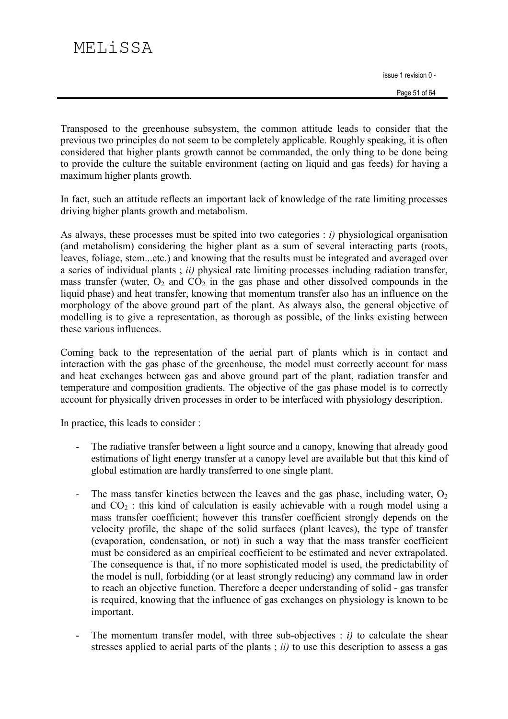Transposed to the greenhouse subsystem, the common attitude leads to consider that the previous two principles do not seem to be completely applicable. Roughly speaking, it is often considered that higher plants growth cannot be commanded, the only thing to be done being to provide the culture the suitable environment (acting on liquid and gas feeds) for having a maximum higher plants growth.

In fact, such an attitude reflects an important lack of knowledge of the rate limiting processes driving higher plants growth and metabolism.

As always, these processes must be spited into two categories :  $i$ ) physiological organisation (and metabolism) considering the higher plant as a sum of several interacting parts (roots, leaves, foliage, stem...etc.) and knowing that the results must be integrated and averaged over a series of individual plants;  $ii)$  physical rate limiting processes including radiation transfer, mass transfer (water,  $O_2$  and  $CO_2$  in the gas phase and other dissolved compounds in the liquid phase) and heat transfer, knowing that momentum transfer also has an influence on the morphology of the above ground part of the plant. As always also, the general objective of modelling is to give a representation, as thorough as possible, of the links existing between these various influences.

Coming back to the representation of the aerial part of plants which is in contact and interaction with the gas phase of the greenhouse, the model must correctly account for mass and heat exchanges between gas and above ground part of the plant, radiation transfer and temperature and composition gradients. The objective of the gas phase model is to correctly account for physically driven processes in order to be interfaced with physiology description.

In practice, this leads to consider :

- The radiative transfer between a light source and a canopy, knowing that already good  $\overline{a}$ estimations of light energy transfer at a canopy level are available but that this kind of global estimation are hardly transferred to one single plant.
- The mass tansfer kinetics between the leaves and the gas phase, including water,  $O_2$  $\Box$ and  $CO<sub>2</sub>$ : this kind of calculation is easily achievable with a rough model using a mass transfer coefficient; however this transfer coefficient strongly depends on the velocity profile, the shape of the solid surfaces (plant leaves), the type of transfer (evaporation, condensation, or not) in such a way that the mass transfer coefficient must be considered as an empirical coefficient to be estimated and never extrapolated. The consequence is that, if no more sophisticated model is used, the predictability of the model is null, forbidding (or at least strongly reducing) any command law in order to reach an objective function. Therefore a deeper understanding of solid - gas transfer is required, knowing that the influence of gas exchanges on physiology is known to be important.
- The momentum transfer model, with three sub-objectives :  $i$ ) to calculate the shear  $\overline{a}$ stresses applied to aerial parts of the plants  $(i)$  to use this description to assess a gas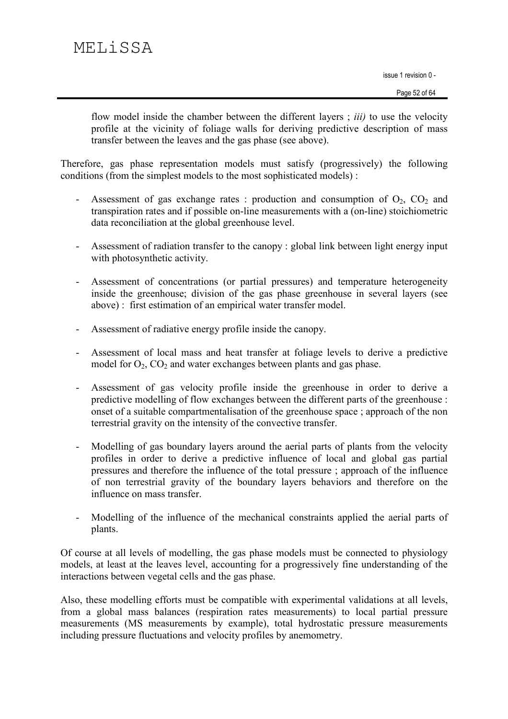flow model inside the chamber between the different layers; *iii*) to use the velocity profile at the vicinity of foliage walls for deriving predictive description of mass transfer between the leaves and the gas phase (see above).

Therefore, gas phase representation models must satisfy (progressively) the following conditions (from the simplest models to the most sophisticated models):

- Assessment of gas exchange rates : production and consumption of  $O_2$ ,  $CO_2$  and transpiration rates and if possible on-line measurements with a (on-line) stoichiometric data reconciliation at the global greenhouse level.
- Assessment of radiation transfer to the canopy : global link between light energy input with photosynthetic activity.
- Assessment of concentrations (or partial pressures) and temperature heterogeneity inside the greenhouse; division of the gas phase greenhouse in several layers (see above): first estimation of an empirical water transfer model.
- Assessment of radiative energy profile inside the canopy.  $\mathbb{L}^2$
- Assessment of local mass and heat transfer at foliage levels to derive a predictive model for  $O_2$ ,  $CO_2$  and water exchanges between plants and gas phase.
- Assessment of gas velocity profile inside the greenhouse in order to derive a  $\Box$ predictive modelling of flow exchanges between the different parts of the greenhouse : onset of a suitable compartmentalisation of the greenhouse space; approach of the non terrestrial gravity on the intensity of the convective transfer.
- Modelling of gas boundary layers around the aerial parts of plants from the velocity  $\omega$ profiles in order to derive a predictive influence of local and global gas partial pressures and therefore the influence of the total pressure; approach of the influence of non terrestrial gravity of the boundary layers behaviors and therefore on the influence on mass transfer.
- Modelling of the influence of the mechanical constraints applied the aerial parts of plants.

Of course at all levels of modelling, the gas phase models must be connected to physiology models, at least at the leaves level, accounting for a progressively fine understanding of the interactions between vegetal cells and the gas phase.

Also, these modelling efforts must be compatible with experimental validations at all levels, from a global mass balances (respiration rates measurements) to local partial pressure measurements (MS measurements by example), total hydrostatic pressure measurements including pressure fluctuations and velocity profiles by anemometry.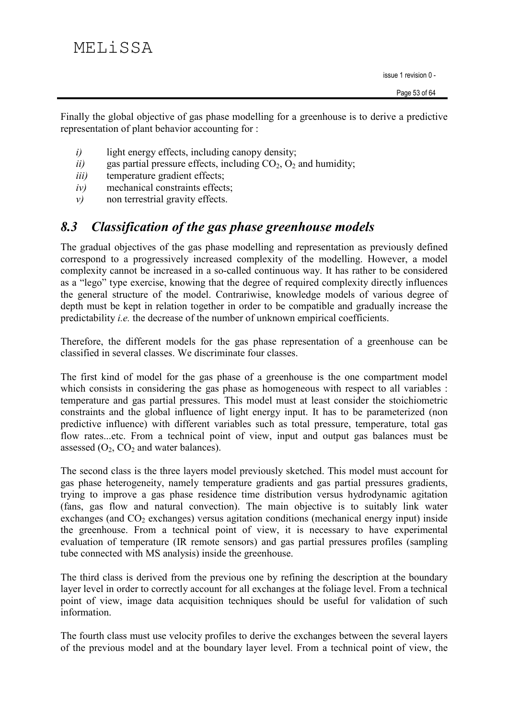Finally the global objective of gas phase modelling for a greenhouse is to derive a predictive representation of plant behavior accounting for:

- light energy effects, including canopy density;  $i)$
- $ii)$ gas partial pressure effects, including  $CO<sub>2</sub>$ ,  $O<sub>2</sub>$  and humidity;
- temperature gradient effects;  $iii)$
- mechanical constraints effects;  $iv)$
- non terrestrial gravity effects.  $\nu$

#### 8.3 **Classification of the gas phase greenhouse models**

The gradual objectives of the gas phase modelling and representation as previously defined correspond to a progressively increased complexity of the modelling. However, a model complexity cannot be increased in a so-called continuous way. It has rather to be considered as a "lego" type exercise, knowing that the degree of required complexity directly influences the general structure of the model. Contrariwise, knowledge models of various degree of depth must be kept in relation together in order to be compatible and gradually increase the predictability *i.e.* the decrease of the number of unknown empirical coefficients.

Therefore, the different models for the gas phase representation of a greenhouse can be classified in several classes. We discriminate four classes.

The first kind of model for the gas phase of a greenhouse is the one compartment model which consists in considering the gas phase as homogeneous with respect to all variables : temperature and gas partial pressures. This model must at least consider the stoichiometric constraints and the global influence of light energy input. It has to be parameterized (non predictive influence) with different variables such as total pressure, temperature, total gas flow rates...etc. From a technical point of view, input and output gas balances must be assessed  $(O_2, CO_2$  and water balances).

The second class is the three layers model previously sketched. This model must account for gas phase heterogeneity, namely temperature gradients and gas partial pressures gradients, trying to improve a gas phase residence time distribution versus hydrodynamic agitation (fans, gas flow and natural convection). The main objective is to suitably link water exchanges (and  $CO<sub>2</sub>$  exchanges) versus agitation conditions (mechanical energy input) inside the greenhouse. From a technical point of view, it is necessary to have experimental evaluation of temperature (IR remote sensors) and gas partial pressures profiles (sampling tube connected with MS analysis) inside the greenhouse.

The third class is derived from the previous one by refining the description at the boundary layer level in order to correctly account for all exchanges at the foliage level. From a technical point of view, image data acquisition techniques should be useful for validation of such information.

The fourth class must use velocity profiles to derive the exchanges between the several layers of the previous model and at the boundary layer level. From a technical point of view, the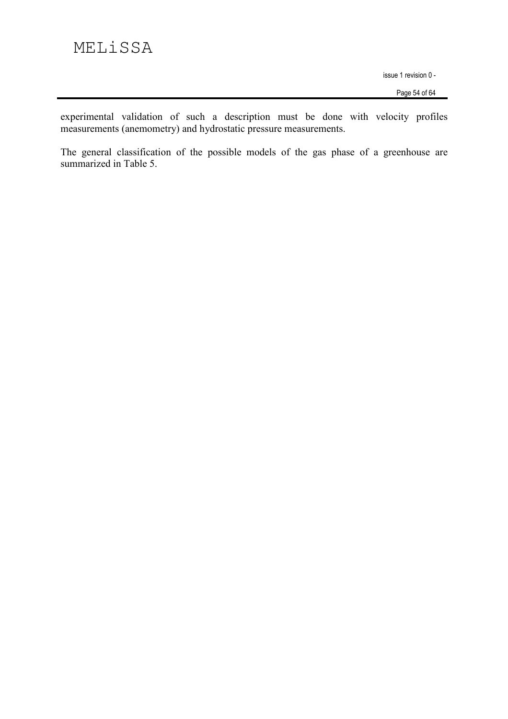Page 54 of 64

experimental validation of such a description must be done with velocity profiles measurements (anemometry) and hydrostatic pressure measurements.

The general classification of the possible models of the gas phase of a greenhouse are summarized in Table 5.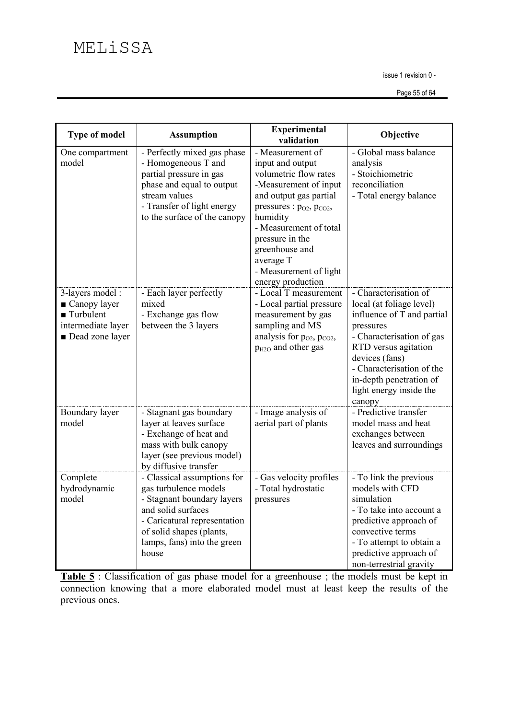Page 55 of 64

| <b>Type of model</b>                                                                                   | <b>Assumption</b>                                                                                                                                                                                            | <b>Experimental</b><br>validation                                                                                                                                                                                                                                                             | Objective                                                                                                                                                                                                                                                        |
|--------------------------------------------------------------------------------------------------------|--------------------------------------------------------------------------------------------------------------------------------------------------------------------------------------------------------------|-----------------------------------------------------------------------------------------------------------------------------------------------------------------------------------------------------------------------------------------------------------------------------------------------|------------------------------------------------------------------------------------------------------------------------------------------------------------------------------------------------------------------------------------------------------------------|
| One compartment<br>model                                                                               | - Perfectly mixed gas phase<br>- Homogeneous T and<br>partial pressure in gas<br>phase and equal to output<br>stream values<br>- Transfer of light energy<br>to the surface of the canopy                    | - Measurement of<br>input and output<br>volumetric flow rates<br>-Measurement of input<br>and output gas partial<br>pressures : $p_{O2}$ , $p_{CO2}$ ,<br>humidity<br>- Measurement of total<br>pressure in the<br>greenhouse and<br>average T<br>- Measurement of light<br>energy production | - Global mass balance<br>analysis<br>- Stoichiometric<br>reconciliation<br>- Total energy balance                                                                                                                                                                |
| 3-layers model:<br>■ Canopy layer<br>$\blacksquare$ Turbulent<br>intermediate layer<br>Dead zone layer | - Each layer perfectly<br>mixed<br>- Exchange gas flow<br>between the 3 layers                                                                                                                               | - Local T measurement<br>- Local partial pressure<br>measurement by gas<br>sampling and MS<br>analysis for $p_{O2}$ , $p_{CO2}$ ,<br>P <sub>H2O</sub> and other gas                                                                                                                           | - Characterisation of<br>local (at foliage level)<br>influence of T and partial<br>pressures<br>- Characterisation of gas<br>RTD versus agitation<br>devices (fans)<br>- Characterisation of the<br>in-depth penetration of<br>light energy inside the<br>canopy |
| Boundary layer<br>model                                                                                | - Stagnant gas boundary<br>layer at leaves surface<br>- Exchange of heat and<br>mass with bulk canopy<br>layer (see previous model)<br>by diffusive transfer                                                 | - Image analysis of<br>aerial part of plants                                                                                                                                                                                                                                                  | - Predictive transfer<br>model mass and heat<br>exchanges between<br>leaves and surroundings                                                                                                                                                                     |
| Complete<br>hydrodynamic<br>model                                                                      | - Classical assumptions for<br>gas turbulence models<br>- Stagnant boundary layers<br>and solid surfaces<br>- Caricatural representation<br>of solid shapes (plants,<br>lamps, fans) into the green<br>house | - Gas velocity profiles<br>- Total hydrostatic<br>pressures                                                                                                                                                                                                                                   | - To link the previous<br>models with CFD<br>simulation<br>- To take into account a<br>predictive approach of<br>convective terms<br>- To attempt to obtain a<br>predictive approach of<br>non-terrestrial gravity                                               |

Table 5 : Classification of gas phase model for a greenhouse ; the models must be kept in connection knowing that a more elaborated model must at least keep the results of the previous ones.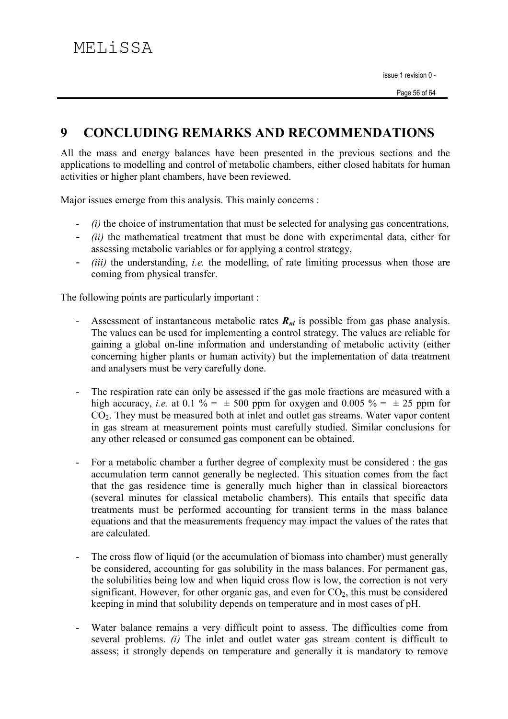#### $\boldsymbol{Q}$ **CONCLUDING REMARKS AND RECOMMENDATIONS**

All the mass and energy balances have been presented in the previous sections and the applications to modelling and control of metabolic chambers, either closed habitats for human activities or higher plant chambers, have been reviewed.

Major issues emerge from this analysis. This mainly concerns :

- (i) the choice of instrumentation that must be selected for analysing gas concentrations,
- *(ii)* the mathematical treatment that must be done with experimental data, either for assessing metabolic variables or for applying a control strategy.
- *(iii)* the understanding, *i.e.* the modelling, of rate limiting processus when those are coming from physical transfer.

The following points are particularly important :

- Assessment of instantaneous metabolic rates  $R_{ni}$  is possible from gas phase analysis.  $\blacksquare$ The values can be used for implementing a control strategy. The values are reliable for gaining a global on-line information and understanding of metabolic activity (either concerning higher plants or human activity) but the implementation of data treatment and analysers must be very carefully done.
- The respiration rate can only be assessed if the gas mole fractions are measured with a high accuracy, *i.e.* at 0.1 % =  $\pm$  500 ppm for oxygen and 0.005 % =  $\pm$  25 ppm for  $CO<sub>2</sub>$ . They must be measured both at inlet and outlet gas streams. Water vapor content in gas stream at measurement points must carefully studied. Similar conclusions for any other released or consumed gas component can be obtained.
- For a metabolic chamber a further degree of complexity must be considered : the gas  $\ddot{\phantom{a}}$ accumulation term cannot generally be neglected. This situation comes from the fact that the gas residence time is generally much higher than in classical bioreactors (several minutes for classical metabolic chambers). This entails that specific data treatments must be performed accounting for transient terms in the mass balance equations and that the measurements frequency may impact the values of the rates that are calculated
- The cross flow of liquid (or the accumulation of biomass into chamber) must generally  $\overline{a}$ be considered, accounting for gas solubility in the mass balances. For permanent gas, the solubilities being low and when liquid cross flow is low, the correction is not very significant. However, for other organic gas, and even for  $CO<sub>2</sub>$ , this must be considered keeping in mind that solubility depends on temperature and in most cases of pH.
- Water balance remains a very difficult point to assess. The difficulties come from several problems. (i) The inlet and outlet water gas stream content is difficult to assess; it strongly depends on temperature and generally it is mandatory to remove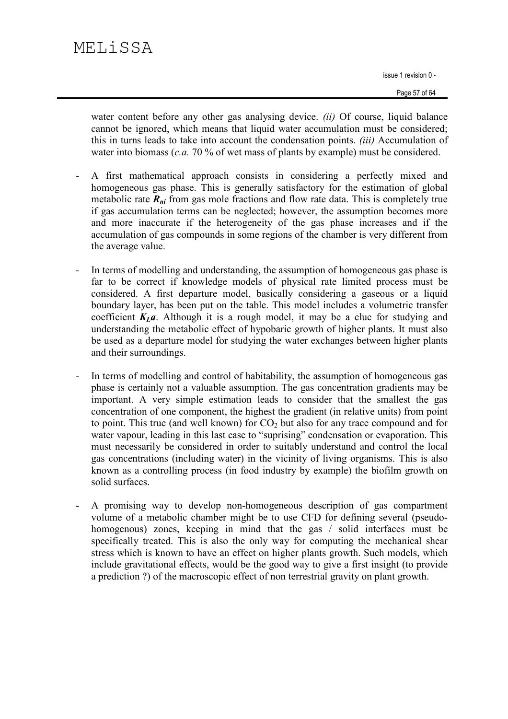# MELiSSA

issue 1 revision 0 -

water content before any other gas analysing device. *(ii)* Of course, liquid balance cannot be ignored, which means that liquid water accumulation must be considered; this in turns leads to take into account the condensation points. *(iii)* Accumulation of water into biomass (*c.a.* 70 % of wet mass of plants by example) must be considered.

- A first mathematical approach consists in considering a perfectly mixed and  $\overline{a}$ homogeneous gas phase. This is generally satisfactory for the estimation of global metabolic rate  $R_{ni}$  from gas mole fractions and flow rate data. This is completely true if gas accumulation terms can be neglected; however, the assumption becomes more and more inaccurate if the heterogeneity of the gas phase increases and if the accumulation of gas compounds in some regions of the chamber is very different from the average value.
- In terms of modelling and understanding, the assumption of homogeneous gas phase is  $\overline{a}$ far to be correct if knowledge models of physical rate limited process must be considered. A first departure model, basically considering a gaseous or a liquid boundary layer, has been put on the table. This model includes a volumetric transfer coefficient  $K_{L}a$ . Although it is a rough model, it may be a clue for studying and understanding the metabolic effect of hypobaric growth of higher plants. It must also be used as a departure model for studying the water exchanges between higher plants and their surroundings.
- In terms of modelling and control of habitability, the assumption of homogeneous gas phase is certainly not a valuable assumption. The gas concentration gradients may be important. A very simple estimation leads to consider that the smallest the gas concentration of one component, the highest the gradient (in relative units) from point to point. This true (and well known) for  $CO<sub>2</sub>$  but also for any trace compound and for water vapour, leading in this last case to "suprising" condensation or evaporation. This must necessarily be considered in order to suitably understand and control the local gas concentrations (including water) in the vicinity of living organisms. This is also known as a controlling process (in food industry by example) the biofilm growth on solid surfaces.
- A promising way to develop non-homogeneous description of gas compartment volume of a metabolic chamber might be to use CFD for defining several (pseudohomogenous) zones, keeping in mind that the gas / solid interfaces must be specifically treated. This is also the only way for computing the mechanical shear stress which is known to have an effect on higher plants growth. Such models, which include gravitational effects, would be the good way to give a first insight (to provide a prediction ?) of the macroscopic effect of non terrestrial gravity on plant growth.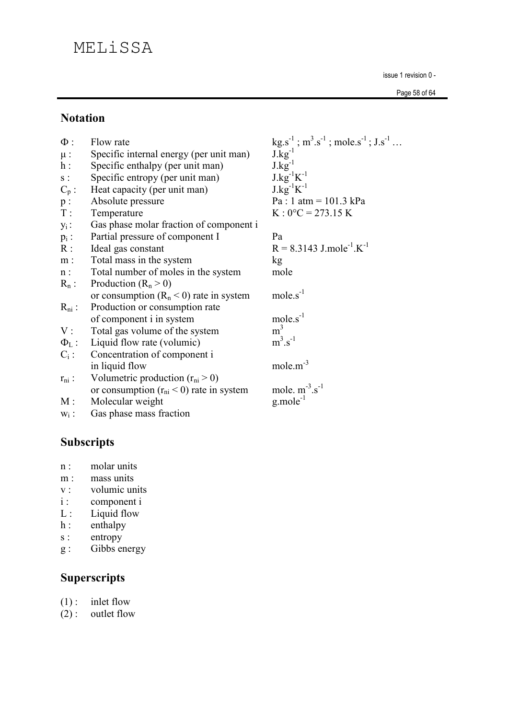# MELiSSA

issue 1 revision 0 -

Page 58 of 64

## **Notation**

| $\Phi$ :         | Flow rate                                    | $kg.s^{-1}$ ; $m^3.s^{-1}$ ; mole.s <sup>-1</sup> ; $J.s^{-1}$ |
|------------------|----------------------------------------------|----------------------------------------------------------------|
| $\mu$ :          | Specific internal energy (per unit man)      | $J.kg^{-1}$                                                    |
| $h$ :            | Specific enthalpy (per unit man)             | $J.kg^{-1}$                                                    |
| ${\bf S}$ :      | Specific entropy (per unit man)              | $J.kg^{-1}K^{-1}$                                              |
| $C_p$ :          | Heat capacity (per unit man)                 | $J.kg^{-1}K^{-1}$                                              |
| $\mathfrak{p}$ : | Absolute pressure                            | $Pa: 1 atm = 101.3 kPa$                                        |
| $T$ :            | Temperature                                  | $K:0^{\circ}C = 273.15 K$                                      |
| $y_i$ :          | Gas phase molar fraction of component i      |                                                                |
| $p_i$ :          | Partial pressure of component I              | Pa                                                             |
| R:               | Ideal gas constant                           | $R = 8.3143$ J.mole <sup>-1</sup> .K <sup>-1</sup>             |
| $m$ :            | Total mass in the system                     | kg                                                             |
| n:               | Total number of moles in the system          | mole                                                           |
| $R_n$ :          | Production $(R_n > 0)$                       |                                                                |
|                  | or consumption $(R_n < 0)$ rate in system    | $mole.s^{-1}$                                                  |
| $R_{ni}$ :       | Production or consumption rate               |                                                                |
|                  | of component i in system                     | $mole.s-1$                                                     |
| V:               | Total gas volume of the system               | m <sup>3</sup>                                                 |
|                  | $\Phi_L$ : Liquid flow rate (volumic)        | $m^3.s^{-1}$                                                   |
| $C_i$ :          | Concentration of component i                 |                                                                |
|                  | in liquid flow                               | mole. $m^{-3}$                                                 |
| $r_{ni}$ :       | Volumetric production $(r_{ni} > 0)$         |                                                                |
|                  | or consumption $(r_{ni} < 0)$ rate in system | mole. $m^{-3}.s^{-1}$                                          |
| M:               | Molecular weight                             | $g$ mole <sup>-1</sup>                                         |
| $W_i$ :          | Gas phase mass fraction                      |                                                                |

# Subscripts

- molar units  $n$ :
- $m$ : mass units
- volumic units  $V:$
- component i  $i$ :
- Liquid flow  $L$ :
- enthalpy  $h$  :
- entropy  $\mathbf S$  :
- Gibbs energy  $g:$

# **Superscripts**

- $(1)$ : inlet flow
- $(2)$ : outlet flow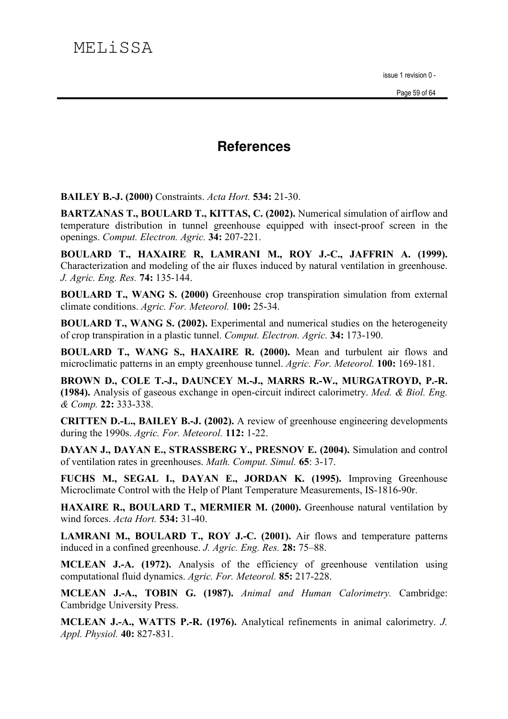# **References**

**BAILEY B.-J. (2000)** Constraints. Acta Hort. 534: 21-30.

**BARTZANAS T., BOULARD T., KITTAS, C. (2002).** Numerical simulation of airflow and temperature distribution in tunnel greenhouse equipped with insect-proof screen in the openings. Comput. Electron. Agric. 34: 207-221.

BOULARD T., HAXAIRE R, LAMRANI M., ROY J.-C., JAFFRIN A. (1999). Characterization and modeling of the air fluxes induced by natural ventilation in greenhouse. J. Agric. Eng. Res. 74: 135-144.

**BOULARD T., WANG S. (2000)** Greenhouse crop transpiration simulation from external climate conditions. Agric. For. Meteorol. 100: 25-34.

**BOULARD T., WANG S. (2002).** Experimental and numerical studies on the heterogeneity of crop transpiration in a plastic tunnel. Comput. Electron. Agric. 34: 173-190.

BOULARD T., WANG S., HAXAIRE R. (2000). Mean and turbulent air flows and microclimatic patterns in an empty greenhouse tunnel. Agric. For. Meteorol. 100: 169-181.

BROWN D., COLE T.-J., DAUNCEY M.-J., MARRS R.-W., MURGATROYD, P.-R. (1984). Analysis of gaseous exchange in open-circuit indirect calorimetry. Med. & Biol. Eng. & Comp. 22: 333-338.

**CRITTEN D.-L., BAILEY B.-J. (2002).** A review of greenhouse engineering developments during the 1990s. Agric. For. Meteorol. 112: 1-22.

DAYAN J., DAYAN E., STRASSBERG Y., PRESNOV E. (2004). Simulation and control of ventilation rates in greenhouses. *Math. Comput. Simul.* 65: 3-17.

FUCHS M., SEGAL I., DAYAN E., JORDAN K. (1995). Improving Greenhouse Microclimate Control with the Help of Plant Temperature Measurements, IS-1816-90r.

HAXAIRE R., BOULARD T., MERMIER M. (2000). Greenhouse natural ventilation by wind forces. Acta Hort. 534: 31-40.

**LAMRANI M., BOULARD T., ROY J.-C. (2001).** Air flows and temperature patterns induced in a confined greenhouse. J. Agric. Eng. Res. 28: 75–88.

MCLEAN J.-A. (1972). Analysis of the efficiency of greenhouse ventilation using computational fluid dynamics. Agric. For. Meteorol. 85: 217-228.

MCLEAN J.-A., TOBIN G. (1987). Animal and Human Calorimetry. Cambridge: Cambridge University Press.

MCLEAN J.-A., WATTS P.-R. (1976). Analytical refinements in animal calorimetry. J. Appl. Physiol. 40: 827-831.